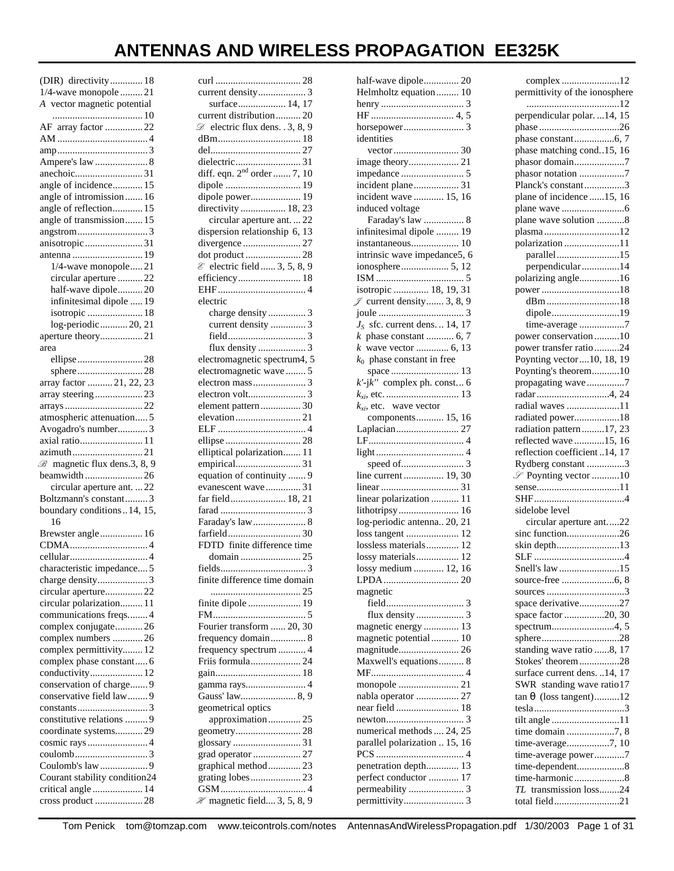# **ANTENNAS AND WIRELESS PROPAGATION EE325K**

| (DIR) directivity 18                     |
|------------------------------------------|
| 1/4-wave monopole  21                    |
| A vector magnetic potential              |
|                                          |
| AF array factor 22                       |
|                                          |
|                                          |
|                                          |
| anechoic31                               |
| angle of incidence 15                    |
| angle of intromission  16                |
| angle of reflection 15                   |
| angle of transmission 15                 |
|                                          |
| anisotropic 31                           |
|                                          |
| 1/4-wave monopole21                      |
| circular aperture  22                    |
| half-wave dipole20                       |
| infinitesimal dipole  19                 |
| isotropic  18                            |
| log-periodic20, 21                       |
| aperture theory21                        |
| area                                     |
| ellipse 28                               |
| sphere28                                 |
| array factor  21, 22, 23                 |
| array steering23                         |
|                                          |
| atmospheric attenuation 5                |
| Avogadro's number3                       |
| axial ratio 11                           |
| azimuth21                                |
| $\mathcal{B}$ magnetic flux dens.3, 8, 9 |
| beamwidth  26                            |
| circular aperture ant.  22               |
| Boltzmann's constant 3                   |
| boundary conditions14, 15,               |
| 16                                       |
| Brewster angle 16                        |
|                                          |
|                                          |
| characteristic impedance                 |
|                                          |
| circular aperture 22                     |
| circular polarization 11                 |
| communications freqs 4                   |
| complex conjugate 26                     |
| complex numbers  26                      |
| complex permittivity 12                  |
| complex phase constant 6                 |
| conductivity 12                          |
| conservation of charge 9                 |
| conservative field law 9                 |
|                                          |
| constitutive relations  9                |
| coordinate systems 29                    |
|                                          |
|                                          |
| Coulomb's law9                           |
| Courant stability condition24            |
| critical angle  14                       |
| cross product 28                         |

| current distribution 20                     |
|---------------------------------------------|
| $\mathscr{D}$ electric flux dens. . 3, 8, 9 |
|                                             |
|                                             |
|                                             |
|                                             |
|                                             |
| dipole power 19                             |
| directivity  18, 23                         |
| circular aperture ant.  22                  |
| dispersion relationship 6, 13               |
| divergence  27                              |
| dot product  28                             |
| & electric field  3, 5, 8, 9                |
|                                             |
|                                             |
|                                             |
| electric                                    |
| charge density  3                           |
| current density  3                          |
|                                             |
|                                             |
| electromagnetic spectrum4, 5                |
| electromagnetic wave5                       |
|                                             |
|                                             |
| element pattern  30                         |
|                                             |
|                                             |
|                                             |
| elliptical polarization 11                  |
|                                             |
| equation of continuity  9                   |
| evanescent wave 31                          |
| far field 18, 21                            |
|                                             |
| Faraday's law 8                             |
|                                             |
| FDTD finite difference time                 |
|                                             |
|                                             |
| fields 3                                    |
| finite difference time domain               |
|                                             |
| finite dipole  19                           |
|                                             |
| Fourier transform  20, 30                   |
| frequency domain 8                          |
| frequency spectrum  4                       |
| Friis formula 24                            |
|                                             |
| gamma rays 4                                |
| Gauss' law 8, 9                             |
| geometrical optics                          |
| approximation 25                            |
|                                             |
|                                             |
| grad operator  27                           |
| graphical method 23                         |
|                                             |
|                                             |
|                                             |
| $\mathcal{H}$ magnetic field 3, 5, 8, 9     |

| half-wave dipole 20                   |
|---------------------------------------|
| Helmholtz equation 10                 |
|                                       |
|                                       |
|                                       |
| identities                            |
|                                       |
|                                       |
|                                       |
|                                       |
| incident plane 31                     |
| incident wave  15, 16                 |
| induced voltage                       |
| Faraday's law  8                      |
| infinitesimal dipole  19              |
|                                       |
| intrinsic wave impedance5, 6          |
|                                       |
|                                       |
| isotropic  18, 19, 31                 |
| $\mathscr{J}$ current density 3, 8, 9 |
|                                       |
|                                       |
| $JS$ sfc. current dens.  14, 17       |
| $k$ phase constant  6, 7              |
| <i>k</i> wave vector  6, 13           |
| $k_0$ phase constant in free          |
|                                       |
| $k'$ -j $k''$ complex ph. const 6     |
|                                       |
| $k_{xi}$ , etc. wave vector           |
| components 15, 16                     |
|                                       |
|                                       |
|                                       |
|                                       |
| line current 19, 30                   |
|                                       |
|                                       |
|                                       |
| linear polarization  11               |
|                                       |
| log-periodic antenna 20, 21           |
| loss tangent  12                      |
| lossless materials 12                 |
| lossy materials 12                    |
| lossy medium  12, 16                  |
|                                       |
| magnetic                              |
|                                       |
|                                       |
|                                       |
| magnetic energy  13                   |
| magnetic potential 10                 |
| magnitude 26                          |
| Maxwell's equations 8                 |
|                                       |
|                                       |
| nabla operator  27                    |
| near field  18                        |
|                                       |
| numerical methods  24, 25             |
| parallel polarization  15, 16         |
|                                       |
| penetration depth 13                  |
| perfect conductor  17                 |
|                                       |

| complex 12                                                                                             |
|--------------------------------------------------------------------------------------------------------|
| permittivity of the ionosphere                                                                         |
|                                                                                                        |
| perpendicular polar.  14, 15                                                                           |
|                                                                                                        |
|                                                                                                        |
| phase matching cond15, 16                                                                              |
| phasor domain7                                                                                         |
| phasor notation 7                                                                                      |
| Planck's constant3                                                                                     |
| plane of incidence 15, 16                                                                              |
|                                                                                                        |
| plane wave solution 8                                                                                  |
| plasma12                                                                                               |
| polarization11                                                                                         |
|                                                                                                        |
| parallel15                                                                                             |
| perpendicular14                                                                                        |
| polarizing angle16                                                                                     |
|                                                                                                        |
| dBm18                                                                                                  |
| dipole19                                                                                               |
| time-average 7                                                                                         |
| power conservation10                                                                                   |
| power transfer ratio24                                                                                 |
| Poynting vector  10, 18, 19                                                                            |
| Poynting's theorem10                                                                                   |
| propagating wave7                                                                                      |
| radar4, 24                                                                                             |
| radial waves 11                                                                                        |
| radiated power18                                                                                       |
| radiation pattern17, 23                                                                                |
| reflected wave 15, 16                                                                                  |
|                                                                                                        |
|                                                                                                        |
|                                                                                                        |
| reflection coefficient 14, 17<br>Rydberg constant 3                                                    |
| Poynting vector 10                                                                                     |
|                                                                                                        |
|                                                                                                        |
| sidelobe level                                                                                         |
| circular aperture ant22                                                                                |
| sinc function26                                                                                        |
| skin depth13                                                                                           |
|                                                                                                        |
| Snell's law 15                                                                                         |
|                                                                                                        |
| sources 3                                                                                              |
| space derivative27                                                                                     |
|                                                                                                        |
| space factor 20, 30<br>spectrum4, 5                                                                    |
|                                                                                                        |
| standing wave ratio 8, 17                                                                              |
|                                                                                                        |
| Stokes' theorem28                                                                                      |
| surface current dens. 14, 17                                                                           |
| SWR standing wave ratio17                                                                              |
| $tan \theta$ (loss tangent)12                                                                          |
|                                                                                                        |
|                                                                                                        |
| tilt angle 11<br>time domain 7, 8                                                                      |
|                                                                                                        |
|                                                                                                        |
|                                                                                                        |
|                                                                                                        |
| time-average7, 10<br>time-average power7<br>time-dependent8<br>TL transmission loss24<br>total field21 |

Tom Penick tom@tomzap.com www.teicontrols.com/notes AntennasAndWirelessPropagation.pdf 1/30/2003 Page 1 of 31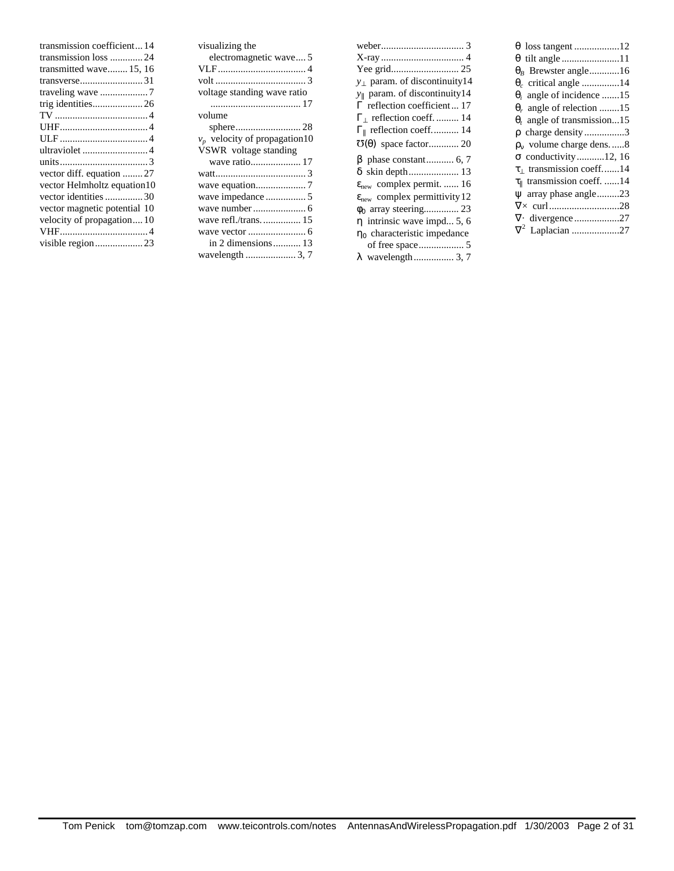| transmission coefficient 14  |
|------------------------------|
| transmission loss 24         |
| transmitted wave 15, 16      |
|                              |
|                              |
| trig identities26            |
|                              |
|                              |
|                              |
| ultraviolet 4                |
|                              |
| vector diff. equation  27    |
| vector Helmholtz equation10  |
| vector identities 30         |
| vector magnetic potential 10 |
| velocity of propagation 10   |
|                              |
|                              |
|                              |

| visualizing the                 |
|---------------------------------|
| electromagnetic wave 5          |
|                                 |
|                                 |
| voltage standing wave ratio     |
|                                 |
| volume                          |
|                                 |
| $v_p$ velocity of propagation10 |
| VSWR voltage standing           |
| wave ratio 17                   |
|                                 |
|                                 |
|                                 |
|                                 |
|                                 |
|                                 |
| in 2 dimensions  13             |
| wavelength  3,7                 |

| $y_1$ param. of discontinuity14                 |
|-------------------------------------------------|
| $y_{\parallel}$ param. of discontinuity14       |
| $\Gamma$ reflection coefficient  17             |
| $\Gamma$ reflection coeff.  14                  |
| $\Gamma_{\parallel}$ reflection coeff 14        |
| $\mathbf{U}(\theta)$ space factor 20            |
|                                                 |
| $\beta$ phase constant 6, 7                     |
|                                                 |
| $\varepsilon_{\text{new}}$ complex permit.  16  |
| $\epsilon_{\text{new}}$ complex permittivity 12 |
|                                                 |
| $\eta$ intrinsic wave impd 5, 6                 |
|                                                 |
| $\eta_0$ characteristic impedance               |

| $\theta_R$ Brewster angle16               |
|-------------------------------------------|
| $\theta_c$ critical angle 14              |
| $\theta_i$ angle of incidence 15          |
| $\theta_r$ angle of relection 15          |
| $\theta_t$ angle of transmission15        |
| $\rho$ charge density3                    |
| $\rho_{v}$ volume charge dens8            |
| $\sigma$ conductivity12, 16               |
| $\tau_1$ transmission coeff14             |
| $\tau_{\parallel}$ transmission coeff. 14 |
| $\psi$ array phase angle23                |
|                                           |
|                                           |
| $\nabla^2$ Laplacian 27                   |
|                                           |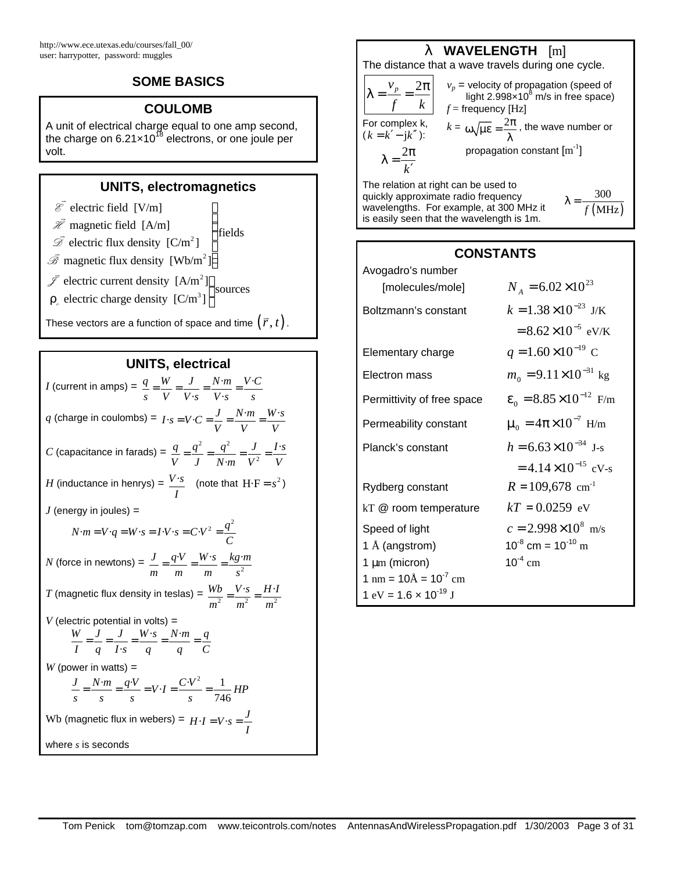# **SOME BASICS**

# **COULOMB**

A unit of electrical charge equal to one amp second, the charge on 6.21 $\times$ 10<sup>18</sup> electrons, or one joule per volt.

# **UNITS, electromagnetics**

 $\mathbf{I}$ 

- $\overline{\mathscr{E}}$  electric field [V/m]
- $\overrightarrow{\ell}$  magnetic field [A/m] fields  $\mathsf{l}$  $\mathsf{l}$
- $\overline{\mathscr{D}}$  electric flux density  $[C/m^2]$ ł  $\overline{1}$
- $\overline{\mathscr{B}}$  magnetic flux density  $[{\rm Wb/m}^2]$
- $\bar{\mathcal{I}}$  electric current density [A/m<sup>2</sup>] sources
- $\rho_{\rho}$  electric charge density  $\left[{\rm C/m}^3\right]$ ł

These vectors are a function of space and time  $(\vec r,t)$  .

## **UNITS, electrical**

*I* (current in amps) =  $\frac{q}{q} = \frac{W}{q} = \frac{J}{q} = \frac{N \cdot m}{q} = \frac{V \cdot m}{r}$  $\cdot s$   $V \cdot$ *q W J N m V C s V V s V s s*  $=\frac{U}{\sqrt{2}}=\frac{J}{\sqrt{2}}=\frac{IV}{\sqrt{2}}=\frac{IV}{\sqrt{2}}$  $q$  (charge in coulombs) =  $I \cdot s = V \cdot C = \frac{J}{V} = \frac{N \cdot m}{V} = \frac{W \cdot s}{V}$  $= V \cdot C = \frac{V}{V} = \frac{IV \cdot m}{V} =$ *C* (capacitance in farads) =  $\frac{q}{q} = \frac{q^2}{q^2} = \frac{q^2}{q^2}$ 2 · · *q*  $q^2$   $q^2$  *J I*·s *V J N* $\cdot$ *m V*<sup>2</sup> *V*  $=\frac{q}{q}=\frac{q}{q}=\frac{q}{q+q}=$  $H$  (inductance in henrys) =  $\frac{V \cdot s}{s}$ *I* (note that  $H \cdot F = s^2$ )  $J$  (energy in joules) =  $N \cdot m = V \cdot q = W \cdot s = I \cdot V \cdot s = C \cdot V^2 = \frac{q^2}{C}$  $= V \cdot q = W \cdot s = I \cdot V \cdot s = C \cdot V^2 =$ *N* (force in newtons) =  $\frac{J}{m} = \frac{q \cdot v}{m} = \frac{W \cdot s}{m} = \frac{kg \cdot s}{s^2}$ *J q*·*V W*· · *s kg m m m m s*  $=\frac{q^{r}v}{r}=\frac{w^{r}v}{r}$ *T* (magnetic flux density in teslas) =  $\frac{WD}{m^2} = \frac{V \cdot S}{m^2} = \frac{H \cdot R}{m^2}$  $Wb$   $V \cdot s$  *H* $\cdot$ *I*  $m^2$   $m^2$   $m$  $=\frac{v+3}{2}$  $V$  (electric potential in volts) =  $\cdot s$  N $\cdot$ · *W J J W s N m q I q I s q q C*  $= -\frac{3}{2} = \frac{1}{2} = \frac{1}{2} = \frac{1}{2} = \frac{1}{2} = \frac{1}{2} = \frac{1}{2} = \frac{1}{2} = \frac{1}{2} = \frac{1}{2} = \frac{1}{2} = \frac{1}{2} = \frac{1}{2} = \frac{1}{2} = \frac{1}{2} = \frac{1}{2} = \frac{1}{2} = \frac{1}{2} = \frac{1}{2} = \frac{1}{2} = \frac{1}{2} = \frac{1}{2} = \frac{1}{2} = \frac{1}{2} = \frac{1}{2} = \frac{1}{2} = \frac{1}{2} = \frac$  $W$  (power in watts)  $=$  $\frac{J}{s} = \frac{N \cdot m}{s} = \frac{q \cdot V}{s} = V \cdot I = \frac{C \cdot V^2}{s} = \frac{1}{746} H P$  $=\frac{N}{I}=\frac{q}{I}$   $\frac{r}{I}$   $=V-I=\frac{V}{I}$   $\frac{r}{I}$   $=$ Wb (magnetic flux in webers) =  $H \cdot I = V \cdot s = \frac{J}{I}$  $= V \cdot s =$ where *s* is seconds

# **l WAVELENGTH** [m]

The distance that a wave travels during one cycle.

$$
\lambda = \frac{v_p}{f} = \frac{2\pi}{k} \qquad v_p = \text{velocity of propagation (speed of light 2.998×10}^8 \text{ m/s in free space)}
$$
\n
$$
f = \text{frequency [Hz]}
$$
\nFor complex k,  
\n
$$
(k = k' - jk'')
$$
:  
\n
$$
\lambda = \frac{2\pi}{k'}
$$
propagation constant [m<sup>-1</sup>]

The relation at right can be used to quickly approximate radio frequency wavelengths. For example, at 300 MHz it is easily seen that the wavelength is 1m.  $\lambda = \frac{300}{f(MHz)}$ 300

| CONSTANTS                                           |                                         |  |  |
|-----------------------------------------------------|-----------------------------------------|--|--|
| Avogadro's number<br>[molecules/mole]               | $N_A = 6.02 \times 10^{23}$             |  |  |
| Boltzmann's constant                                | $k = 1.38 \times 10^{-23}$ J/K          |  |  |
|                                                     | $= 8.62 \times 10^{-5}$ eV/K            |  |  |
| Elementary charge                                   | $q = 1.60 \times 10^{-19}$ C            |  |  |
| Electron mass                                       | $m_0 = 9.11 \times 10^{-31}$ kg         |  |  |
| Permittivity of free space                          | $\epsilon_0 = 8.85 \times 10^{-12}$ F/m |  |  |
| Permeability constant                               | $\mu_0 = 4\pi \times 10^{-7}$ H/m       |  |  |
| Planck's constant                                   | $h = 6.63 \times 10^{-34}$ J-s          |  |  |
|                                                     | $=4.14\times10^{-15}$ cV-s              |  |  |
| Rydberg constant                                    | $R = 109,678$ cm <sup>-1</sup>          |  |  |
| kT @ room temperature                               | $kT = 0.0259$ eV                        |  |  |
| Speed of light                                      | $c = 2.998 \times 10^8$ m/s             |  |  |
| 1 Å (angstrom)                                      | $10^{-8}$ cm = $10^{-10}$ m             |  |  |
| $1 \mu m$ (micron)                                  | $10^{-4}$ cm                            |  |  |
| $1 \text{ nm} = 10 \text{\AA} = 10^{-7} \text{ cm}$ |                                         |  |  |
| 1 eV = 1.6 $\times$ 10 <sup>-19</sup> J             |                                         |  |  |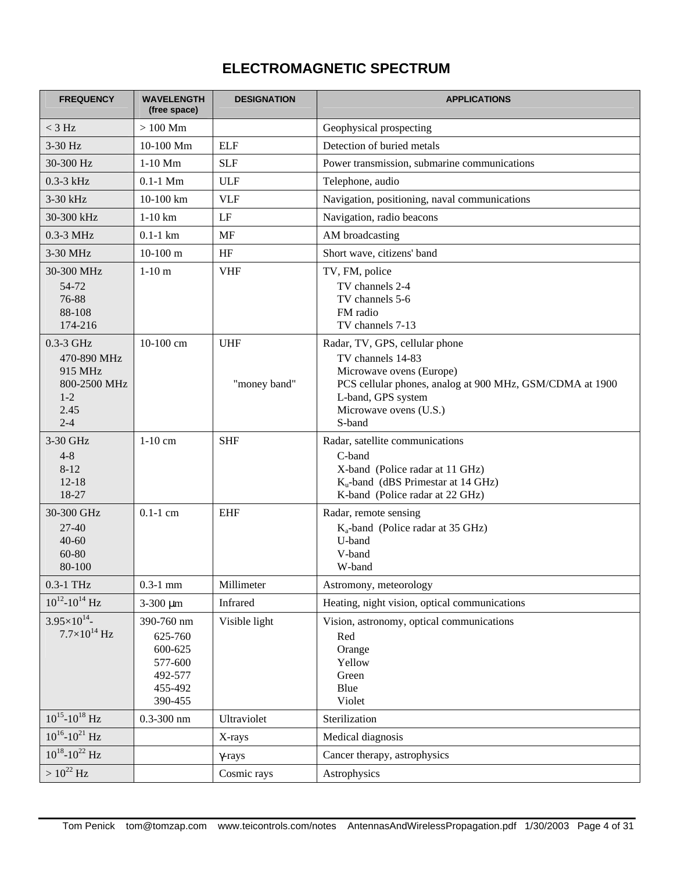# **ELECTROMAGNETIC SPECTRUM**

| <b>FREQUENCY</b>                                                                  | <b>WAVELENGTH</b><br>(free space)                                            | <b>DESIGNATION</b>         | <b>APPLICATIONS</b>                                                                                                                                                                                   |
|-----------------------------------------------------------------------------------|------------------------------------------------------------------------------|----------------------------|-------------------------------------------------------------------------------------------------------------------------------------------------------------------------------------------------------|
| $<$ 3 Hz                                                                          | $>100$ Mm                                                                    |                            | Geophysical prospecting                                                                                                                                                                               |
| 3-30 Hz                                                                           | $10-100$ Mm                                                                  | <b>ELF</b>                 | Detection of buried metals                                                                                                                                                                            |
| 30-300 Hz                                                                         | $1-10$ Mm                                                                    | <b>SLF</b>                 | Power transmission, submarine communications                                                                                                                                                          |
| $0.3-3$ kHz                                                                       | $0.1-1$ Mm                                                                   | <b>ULF</b>                 | Telephone, audio                                                                                                                                                                                      |
| 3-30 kHz                                                                          | 10-100 km                                                                    | <b>VLF</b>                 | Navigation, positioning, naval communications                                                                                                                                                         |
| 30-300 kHz                                                                        | $1-10$ km                                                                    | $\rm LF$                   | Navigation, radio beacons                                                                                                                                                                             |
| $0.3-3$ MHz                                                                       | $0.1-1$ km                                                                   | MF                         | AM broadcasting                                                                                                                                                                                       |
| 3-30 MHz                                                                          | $10-100$ m                                                                   | HF                         | Short wave, citizens' band                                                                                                                                                                            |
| 30-300 MHz<br>54-72<br>76-88<br>88-108<br>174-216                                 | $1-10$ m                                                                     | <b>VHF</b>                 | TV, FM, police<br>TV channels 2-4<br>TV channels 5-6<br>FM radio<br>TV channels 7-13                                                                                                                  |
| 0.3-3 GHz<br>470-890 MHz<br>915 MHz<br>800-2500 MHz<br>$1 - 2$<br>2.45<br>$2 - 4$ | 10-100 cm                                                                    | <b>UHF</b><br>"money band" | Radar, TV, GPS, cellular phone<br>TV channels 14-83<br>Microwave ovens (Europe)<br>PCS cellular phones, analog at 900 MHz, GSM/CDMA at 1900<br>L-band, GPS system<br>Microwave ovens (U.S.)<br>S-band |
| 3-30 GHz<br>$4 - 8$<br>$8 - 12$<br>$12 - 18$<br>18-27<br>30-300 GHz               | $1-10$ cm<br>$0.1-1$ cm                                                      | <b>SHF</b><br><b>EHF</b>   | Radar, satellite communications<br>C-band<br>X-band (Police radar at 11 GHz)<br>$K_u$ -band (dBS Primestar at 14 GHz)<br>K-band (Police radar at 22 GHz)<br>Radar, remote sensing                     |
| $27 - 40$<br>$40 - 60$<br>60-80<br>80-100                                         |                                                                              |                            | $K_a$ -band (Police radar at 35 GHz)<br>U-band<br>V-band<br>W-band                                                                                                                                    |
| $0.3-1$ THz                                                                       | $0.3-1$ mm                                                                   | Millimeter                 | Astromony, meteorology                                                                                                                                                                                |
| $10^{12} - 10^{14}$ Hz                                                            | $3 - 300 \mu m$                                                              | Infrared                   | Heating, night vision, optical communications                                                                                                                                                         |
| $3.95\times10^{14}$ -<br>$7.7\times10^{14}$ Hz                                    | 390-760 nm<br>625-760<br>600-625<br>577-600<br>492-577<br>455-492<br>390-455 | Visible light              | Vision, astronomy, optical communications<br>Red<br>Orange<br>Yellow<br>Green<br>Blue<br>Violet                                                                                                       |
| $10^{15}$ - $10^{18}$ Hz                                                          | $0.3 - 300$ nm                                                               | Ultraviolet                | Sterilization                                                                                                                                                                                         |
| $10^{16} - 10^{21}$ Hz                                                            |                                                                              | X-rays                     | Medical diagnosis                                                                                                                                                                                     |
| $10^{18} - 10^{22}$ Hz                                                            |                                                                              | $\gamma$ -rays             | Cancer therapy, astrophysics                                                                                                                                                                          |
| $> 10^{22}$ Hz                                                                    |                                                                              | Cosmic rays                | Astrophysics                                                                                                                                                                                          |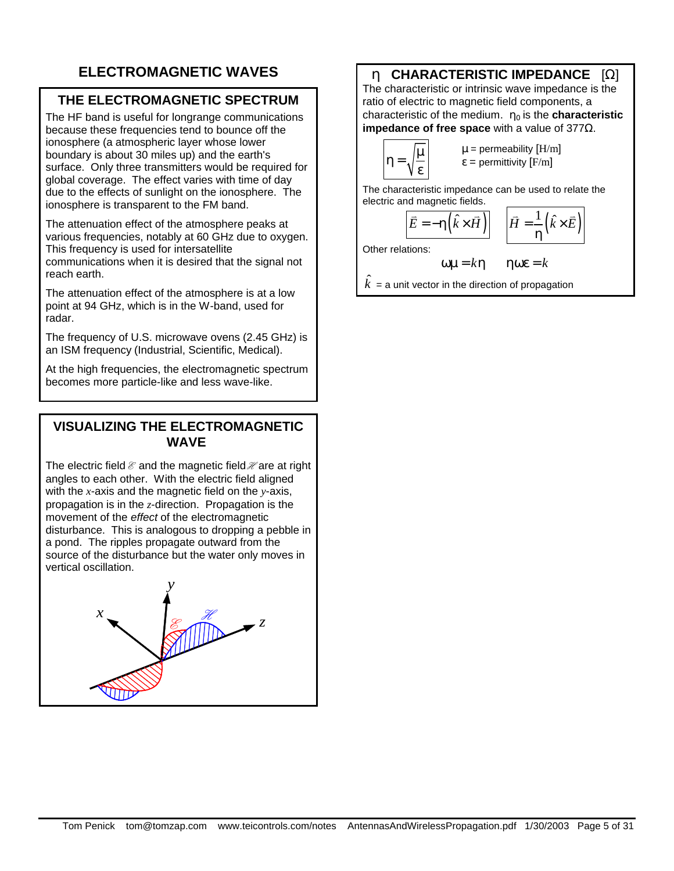# **ELECTROMAGNETIC WAVES**

# **THE ELECTROMAGNETIC SPECTRUM**

The HF band is useful for longrange communications because these frequencies tend to bounce off the ionosphere (a atmospheric layer whose lower boundary is about 30 miles up) and the earth's surface. Only three transmitters would be required for global coverage. The effect varies with time of day due to the effects of sunlight on the ionosphere. The ionosphere is transparent to the FM band.

The attenuation effect of the atmosphere peaks at various frequencies, notably at 60 GHz due to oxygen. This frequency is used for intersatellite communications when it is desired that the signal not reach earth.

The attenuation effect of the atmosphere is at a low point at 94 GHz, which is in the W-band, used for radar.

The frequency of U.S. microwave ovens (2.45 GHz) is an ISM frequency (Industrial, Scientific, Medical).

At the high frequencies, the electromagnetic spectrum becomes more particle-like and less wave-like.

## **VISUALIZING THE ELECTROMAGNETIC WAVE**

The electric field  $\mathcal E$  and the magnetic field  $\mathcal H$  are at right angles to each other. With the electric field aligned with the *x*-axis and the magnetic field on the *y*-axis, propagation is in the *z*-direction. Propagation is the movement of the *effect* of the electromagnetic disturbance. This is analogous to dropping a pebble in a pond. The ripples propagate outward from the source of the disturbance but the water only moves in vertical oscillation.



# **h CHARACTERISTIC IMPEDANCE** [Ω]

The characteristic or intrinsic wave impedance is the ratio of electric to magnetic field components, a characteristic of the medium. **h0** is the **characteristic impedance of free space** with a value of 377Ω.

$$
\eta = \sqrt{\frac{\mu}{\epsilon}}
$$

 $\mu$  = permeability  $[H/m]$  $\varepsilon$  = permittivity [F/m]

The characteristic impedance can be used to relate the electric and magnetic fields.

$$
\vec{E} = -\eta \left( \hat{k} \times \vec{H} \right) \quad \left| \vec{H} = \frac{1}{\eta} \left( \hat{k} \times \vec{E} \right) \right|
$$

Other relations:

$$
\omega \mu = k \eta
$$
  $\eta \omega \epsilon = k$ 

 $\hat{k}$  = a unit vector in the direction of propagation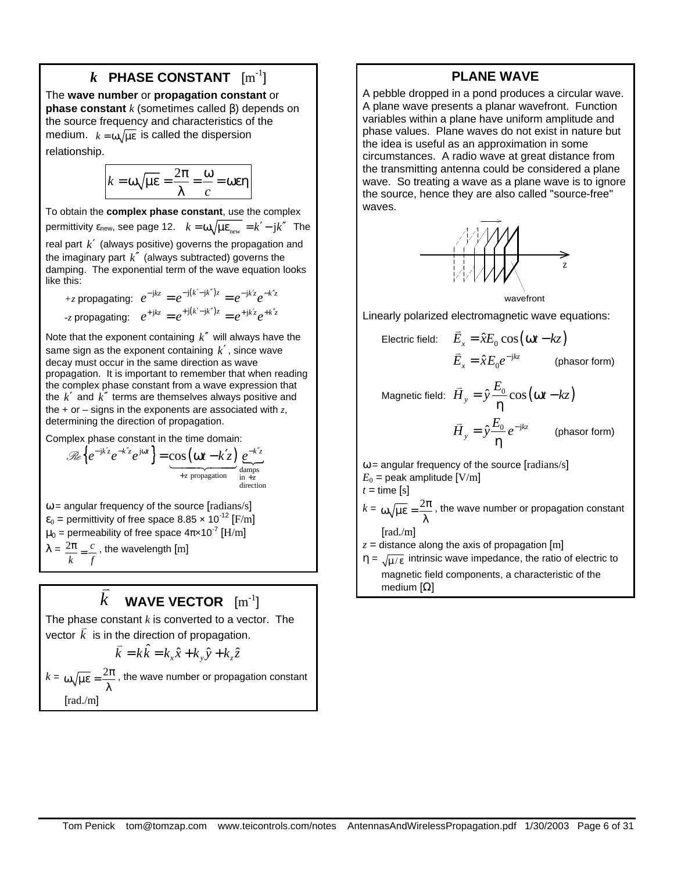# $\boldsymbol{k}$  PHASE CONSTANT  $\rm [m^{-1}]$

The **wave number** or **propagation constant** or **phase constant** *k* (sometimes called β) depends on the source frequency and characteristics of the medium.  $k = \omega \sqrt{\mu \epsilon}$  is called the dispersion relationship.

$$
k = \omega \sqrt{\mu \varepsilon} = \frac{2\pi}{\lambda} = \frac{\omega}{c} = \omega \varepsilon \eta
$$

To obtain the **complex phase constant**, use the complex permittivity ε<sub>new</sub>, see page 12.  $k = ω \sqrt{\mu \varepsilon_{\text{new}}} = k' - jk''$  The real part *k*′ (always positive) governs the propagation and the imaginary part  $k''$  (always subtracted) governs the damping. The exponential term of the wave equation looks like this:

+*z* propagating: 
$$
e^{-jkz} = e^{-j(k'-jk'')z} = e^{-jk'z}e^{-k'z}
$$
  
-*z* propagating:  $e^{+jkz} = e^{+j(k'-jk'')z} = e^{+jk'z}e^{+k''z}$ 

Note that the exponent containing *k*′′ will always have the same sign as the exponent containing *k*′ , since wave decay must occur in the same direction as wave propagation. It is important to remember that when reading the complex phase constant from a wave expression that the *k*′ and *k*′′ terms are themselves always positive and the + or – signs in the exponents are associated with *z*, determining the direction of propagation.

Complex phase constant in the time domain:

$$
\mathcal{R}e\left\{e^{-jk'z}e^{-k'z}e^{j\omega t}\right\} = \underbrace{\cos\left(\omega t - k'z\right)}_{+z \text{ propagation}}\underbrace{e^{-k'z}}_{\substack{\text{damps} \\ \text{in } +z}}.
$$

 $\omega$  = angular frequency of the source [radians/s]  $\varepsilon_0$  = permittivity of free space 8.85  $\times$  10<sup>-12</sup> [F/m]  $\mu_0$  = permeability of free space 4π×10 $^7$  [H/m]  $\lambda = \frac{2\pi}{c} = \frac{c}{c}$ *k f*  $\frac{\pi}{n} = \frac{c}{n}$ , the wavelength [m]

#### *k*  $\frac{1}{\cdot}$ WAVE VECTOR  $\rm [m^{-1}]$

The phase constant *k* is converted to a vector. The vector  $\vec{k}$  is in the direction of propagation.

$$
\vec{k} = k\hat{k} = k_x \hat{x} + k_y \hat{y} + k_z \hat{z}
$$

 $k = \omega \sqrt{\mu \varepsilon} = \frac{2\pi}{\lambda}$ , the wave number or propagation constant [rad./m]

#### **PLANE WAVE**

A pebble dropped in a pond produces a circular wave. A plane wave presents a planar wavefront. Function variables within a plane have uniform amplitude and phase values. Plane waves do not exist in nature but the idea is useful as an approximation in some circumstances. A radio wave at great distance from the transmitting antenna could be considered a plane wave. So treating a wave as a plane wave is to ignore the source, hence they are also called "source-free" waves.



Linearly polarized electromagnetic wave equations:

Electric field: 
$$
\vec{E}_x = \hat{x} E_0 \cos(\omega t - kz)
$$

$$
\vec{E}_x = \hat{x} E_0 e^{-jkz}
$$
 (phasor form)

 $M$ agnetic field:  $\overline{\hat{H}}_{y} = \hat{y} \frac{E_{0}}{\hat{x}} \cos(\omega t - kz)$ η l.  $\hat{y} \frac{E_0}{2} e^{-\text{j}kz}$ *y*  $\vec{H}$ <sub>*y*</sub> =  $\hat{y} \frac{E_0}{2} e^{-t}$ η  $\overline{H}_{v} = \hat{y} \frac{E_{0}}{e^{-j k z}} e^{-j k z}$  (phasor form)

 $\omega$  = angular frequency of the source [radians/s]  $E_0$  = peak amplitude  $[V/m]$  $t =$  time [s]  $k = \omega \sqrt{\mu \varepsilon} = \frac{2\pi}{\lambda}$ , the wave number or propagation constant

[rad./m]  $z =$  distance along the axis of propagation [m]

 $\eta = \sqrt{\mu/\epsilon}$  intrinsic wave impedance, the ratio of electric to magnetic field components, a characteristic of the medium [Ω]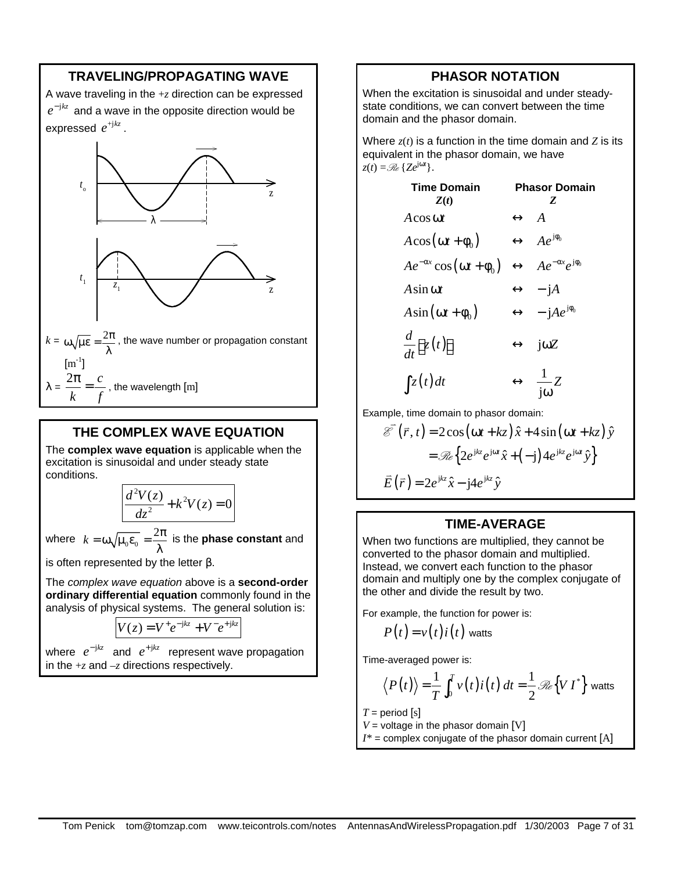# **TRAVELING/PROPAGATING WAVE**

A wave traveling in the +*z* direction can be expressed  $e^{-{\rm j}kz}$  and a wave in the opposite direction would be expressed  $e^{^{+jkz}}$  .



#### **THE COMPLEX WAVE EQUATION**

The **complex wave equation** is applicable when the excitation is sinusoidal and under steady state conditions.

$$
\frac{d^2V(z)}{dz^2} + k^2V(z) = 0
$$

where  $k = \omega \sqrt{\mu_0 \varepsilon_0} = \frac{2\pi}{\lambda}$ λ is the **phase constant** and

is often represented by the letter β.

The *complex wave equation* above is a **second-order ordinary differential equation** commonly found in the analysis of physical systems. The general solution is:

$$
V(z) = V^+ e^{-jkz} + V^- e^{+jkz}
$$

where  $e^{-jkz}$  and  $e^{+jkz}$  represent wave propagation in the +*z* and –*z* directions respectively.

#### **PHASOR NOTATION**

When the excitation is sinusoidal and under steadystate conditions, we can convert between the time domain and the phasor domain.

Where  $z(t)$  is a function in the time domain and  $Z$  is its equivalent in the phasor domain, we have  $z(t) = \mathcal{R}_e \{Ze^{j\omega t}\}.$ 

Time Domain  
\n
$$
Z(t) \longrightarrow Z
$$
\n
$$
A \cos \omega t \longrightarrow A
$$
\n
$$
A \cos (\omega t + \phi_0) \longleftrightarrow A e^{j\phi_0}
$$
\n
$$
A e^{-\alpha x} \cos (\omega t + \phi_0) \longleftrightarrow A e^{-\alpha x} e^{j\phi_0}
$$
\n
$$
A \sin \omega t \longleftrightarrow -jA
$$
\n
$$
A \sin (\omega t + \phi_0) \longleftrightarrow -jA e^{j\phi_0}
$$
\n
$$
\frac{d}{dt} [z(t)] \longleftrightarrow j\omega Z
$$
\n
$$
\int z(t) dt \longrightarrow \frac{1}{j\omega} Z
$$

Example, time domain to phasor domain:

$$
\mathcal{E}(\vec{r}, t) = 2\cos(\omega t + kz) \hat{x} + 4\sin(\omega t + kz) \hat{y}
$$

$$
= \mathcal{R}_e \{ 2e^{ikz} e^{j\omega t} \hat{x} + (-j) 4e^{ikz} e^{j\omega t} \hat{y} \}
$$

$$
\vec{E}(\vec{r}) = 2e^{ikz} \hat{x} - j4e^{ikz} \hat{y}
$$

#### **TIME-AVERAGE**

When two functions are multiplied, they cannot be converted to the phasor domain and multiplied. Instead, we convert each function to the phasor domain and multiply one by the complex conjugate of the other and divide the result by two.

For example, the function for power is:

$$
P(t) = v(t)i(t)
$$
 watts

Time-averaged power is:

$$
\langle P(t) \rangle = \frac{1}{T} \int_0^T v(t) i(t) dt = \frac{1}{2} \mathcal{R} \{ V I^* \}
$$
 watts

 $T =$  period [s]

- $V =$  voltage in the phasor domain [V]
- $I^*$  = complex conjugate of the phasor domain current  $[A]$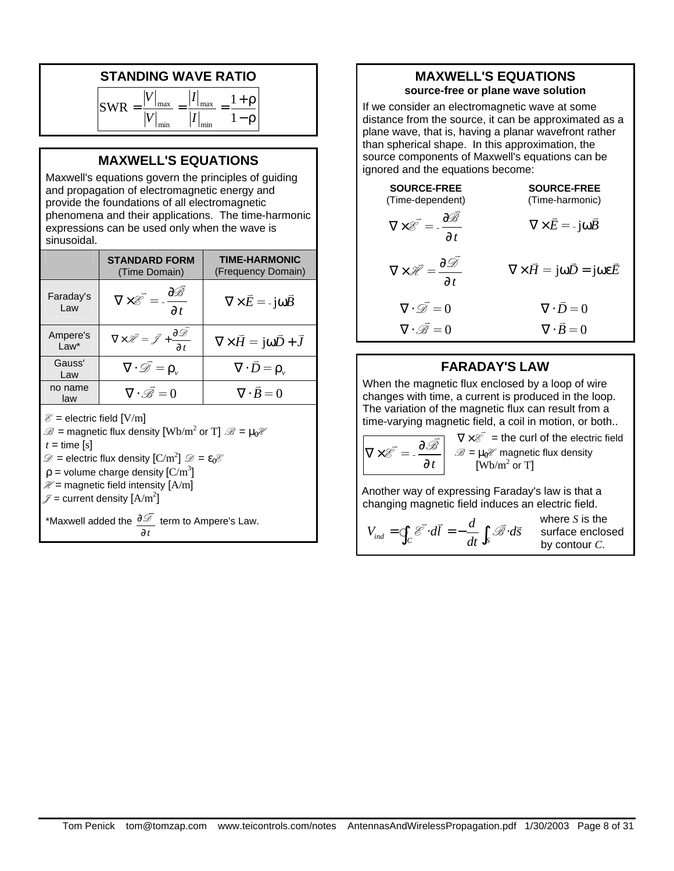# **STANDING WAVE RATIO**

| $S_{1}$ | max | l max |  |
|---------|-----|-------|--|
|         | min | min   |  |

# **MAXWELL'S EQUATIONS**

Maxwell's equations govern the principles of guiding and propagation of electromagnetic energy and provide the foundations of all electromagnetic phenomena and their applications. The time-harmonic expressions can be used only when the wave is sinusoidal.

|                                                                                                                                                                                                                                                                                                                                                                                                                                       | <b>STANDARD FORM</b><br>(Time Domain)                                                                 | <b>TIME-HARMONIC</b><br>(Frequency Domain)          |  |  |
|---------------------------------------------------------------------------------------------------------------------------------------------------------------------------------------------------------------------------------------------------------------------------------------------------------------------------------------------------------------------------------------------------------------------------------------|-------------------------------------------------------------------------------------------------------|-----------------------------------------------------|--|--|
| Faraday's<br>Law                                                                                                                                                                                                                                                                                                                                                                                                                      | $\nabla \times \overrightarrow{\mathcal{E}} = -\frac{\partial \mathcal{B}}{\partial t}$               | $\nabla \times \vec{E} = -i\omega \vec{B}$          |  |  |
| Ampere's<br>$Law*$                                                                                                                                                                                                                                                                                                                                                                                                                    | $\nabla \times \vec{\mathcal{H}} = \vec{\mathcal{J}} + \frac{\partial \vec{\mathcal{D}}}{\partial t}$ | $\nabla \times \vec{H} = j\omega \vec{D} + \vec{J}$ |  |  |
| Gauss'<br>Law                                                                                                                                                                                                                                                                                                                                                                                                                         | $\nabla \cdot \vec{\mathcal{D}} = \rho_{v}$                                                           | $\nabla \cdot \bar{D} = \rho_{v}$                   |  |  |
| no name<br>law                                                                                                                                                                                                                                                                                                                                                                                                                        | $\nabla \cdot \vec{\mathcal{B}} = 0$                                                                  | $\nabla \cdot \vec{B} = 0$                          |  |  |
| $\mathcal{E}$ = electric field [V/m]<br>$\mathcal{B}$ = magnetic flux density $[{\rm Wb/m}^2$ or T] $\mathcal{B} = \mu_0 \mathcal{H}$<br>$t =$ time [s]<br>$\mathcal{D}$ = electric flux density $\left[\mathrm{C/m}^2\right]$ $\mathcal{D} = \varepsilon_0 \mathcal{E}$<br>$\rho$ = volume charge density $\left[\text{C/m}^3\right]$<br>$\mathcal{H}$ = magnetic field intensity [A/m]<br>$\mathcal{J}$ = current density $[A/m^2]$ |                                                                                                       |                                                     |  |  |
| *Maxwell added the $\frac{\partial \mathcal{D}}{\partial x}$ term to Ampere's Law.                                                                                                                                                                                                                                                                                                                                                    |                                                                                                       |                                                     |  |  |

$$
\mathcal{L}^{\mathcal{L}}(\mathcal{L})
$$

*t* ∂

# **MAXWELL'S EQUATIONS source-free or plane wave solution**

If we consider an electromagnetic wave at some distance from the source, it can be approximated as a plane wave, that is, having a planar wavefront rather than spherical shape. In this approximation, the source components of Maxwell's equations can be ignored and the equations become:

| <b>SOURCE-FREE</b><br>(Time-dependent)                                                                   | <b>SOURCE-FREE</b><br>(Time-harmonic)                                   |
|----------------------------------------------------------------------------------------------------------|-------------------------------------------------------------------------|
| $\nabla \times \overrightarrow{\mathcal{E}} = -\frac{\partial \overrightarrow{\mathcal{B}}}{\partial t}$ | $\nabla \times \vec{E} = -\mathbf{j} \omega \vec{B}$                    |
| $\nabla \times \vec{\mathcal{H}} = \frac{\partial \mathcal{D}}{\partial t}$                              | $\nabla \times \vec{H} = j\omega \vec{D} = j\omega \varepsilon \vec{E}$ |
| $\nabla \cdot \vec{\mathcal{D}} = 0$                                                                     | $\nabla \cdot \vec{D} = 0$                                              |
| $\nabla \cdot \vec{\mathcal{B}} = 0$                                                                     | $\nabla \cdot \vec{B} = 0$                                              |

#### **FARADAY'S LAW**

When the magnetic flux enclosed by a loop of wire changes with time, a current is produced in the loop. The variation of the magnetic flux can result from a time-varying magnetic field, a coil in motion, or both..

$$
\nabla \times \overline{\mathscr{E}} = -\frac{\partial \overline{\mathscr{B}}}{\partial t} \quad \overline{\mathscr{B}} = \mu_0 \overline{\mathscr{C}}
$$
 magnetic flux density  
[Wb/m<sup>2</sup> or T]

Another way of expressing Faraday's law is that a changing magnetic field induces an electric field.

$$
V_{ind} = \oint_C \overrightarrow{\mathcal{E}} \cdot d\overrightarrow{l} = -\frac{d}{dt} \int_S \overrightarrow{\mathcal{B}} \cdot d\overrightarrow{s}
$$

where *S* is the surface enclosed by contour *C*.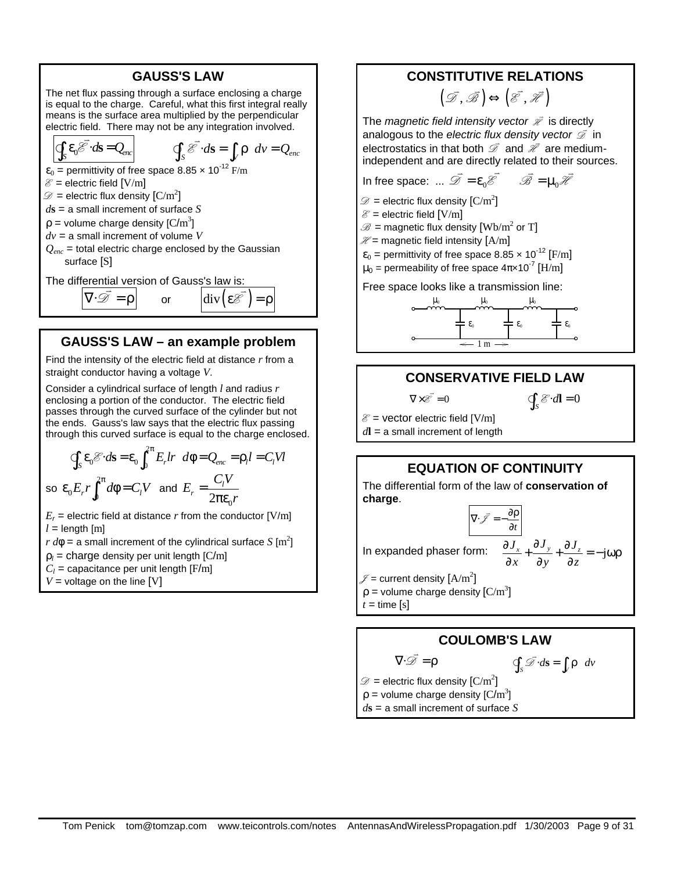#### **GAUSS'S LAW**

The net flux passing through a surface enclosing a charge is equal to the charge. Careful, what this first integral really means is the surface area multiplied by the perpendicular electric field. There may not be any integration involved.

$$
\oint_{S} \varepsilon_{0} \overrightarrow{\mathcal{E}} \cdot d\mathbf{s} = Q_{enc} \qquad \oint_{S} \overrightarrow{\mathcal{E}} \cdot d\mathbf{s} = \int_{V} \rho \ dV = Q_{enc}
$$

 $\varepsilon_0$  = permittivity of free space 8.85  $\times$  10<sup>-12</sup> F/m

 $\mathscr{E}$  = electric field [V/m]

 $\mathscr{D}=$  electric flux density  $\left[{\rm C/m}^2\right]$ *d***s** = a small increment of surface *S*

 $\rho$  = volume charge density [C/m<sup>3</sup>]

*dv* = a small increment of volume *V*

*Qenc* = total electric charge enclosed by the Gaussian surface [S]

The differential version of Gauss's law is:  $\overline{\nabla \cdot \mathcal{D}} = \rho$  $\frac{1}{2}$ 

## **GAUSS'S LAW – an example problem**

or  $\left| \text{div}(\varepsilon \mathcal{E}) \right| = \rho$ 

Find the intensity of the electric field at distance *r* from a straight conductor having a voltage *V*.

Consider a cylindrical surface of length *l* and radius *r* enclosing a portion of the conductor. The electric field passes through the curved surface of the cylinder but not the ends. Gauss's law says that the electric flux passing through this curved surface is equal to the charge enclosed.

$$
\oint_{S} \varepsilon_{0} \mathcal{E} \cdot d\mathbf{s} = \varepsilon_{0} \int_{0}^{2\pi} E_{r} l r \ d\phi = Q_{enc} = \rho_{l} l = C_{l} V l
$$
\n
$$
\text{so } \varepsilon_{0} E_{r} r \int_{0}^{2\pi} d\phi = C_{l} V \text{ and } E_{r} = \frac{C_{l} V}{2\pi \varepsilon_{0} r}
$$

 $E_r$  = electric field at distance  $r$  from the conductor [V/m]  $l =$  length  $[m]$ 

 $r d\phi =$  a small increment of the cylindrical surface  $S$  [m<sup>2</sup>]

 $\rho_l$  = charge density per unit length [C/m]

 $C_l$  = capacitance per unit length [F/m]

 $V =$  voltage on the line  $[V]$ 

#### **CONSTITUTIVE RELATIONS**

$$
\left(\vec{\mathscr{D}},\vec{\mathscr{B}}\right)\!\Leftrightarrow\!\left(\vec{\mathscr{E}},\vec{\mathscr{H}}\right)
$$

The *magnetic field intensity vector*  $\bar{\mathscr{R}}$  *is directly* analogous to the *electric flux density vector*  $\overline{\mathscr{D}}$  in electrostatics in that both  $\overline{D}$  and  $\overline{\mathscr{X}}$  are mediumindependent and are directly related to their sources.

In free space: ...  $\overrightarrow{\mathscr{D}} = \varepsilon_0 \overrightarrow{\mathscr{E}} \qquad \overrightarrow{\mathscr{B}} = \mu_0 \overrightarrow{\mathscr{H}}$ 

 $\mathscr{D}=$  electric flux density  $\left[\mathrm{C/m}^2\right]$ 

 $\mathscr{E}$  = electric field [V/m]

 $\mathscr{B}=$  magnetic flux density  $[\operatorname{Wb/m}^2$  or  $\mathrm{T}]$ 

 $\mathcal{H}$  = magnetic field intensity [A/m]

 $\varepsilon_0$  = permittivity of free space 8.85 x 10<sup>-12</sup> [F/m]  $\mu_0$  = permeability of free space 4π×10 $^7$  [H/m]

Free space looks like a transmission line:



# **CONSERVATIVE FIELD LAW**

 $\oint_{S} \mathcal{E} \cdot d\mathbf{l} = 0$ 

 $\mathcal{E}$  = vector electric field [V/m] *d***l** = a small increment of length

 $\nabla \times \vec{\mathcal{E}} = 0$ 

# **EQUATION OF CONTINUITY**

The differential form of the law of **conservation of charge**.



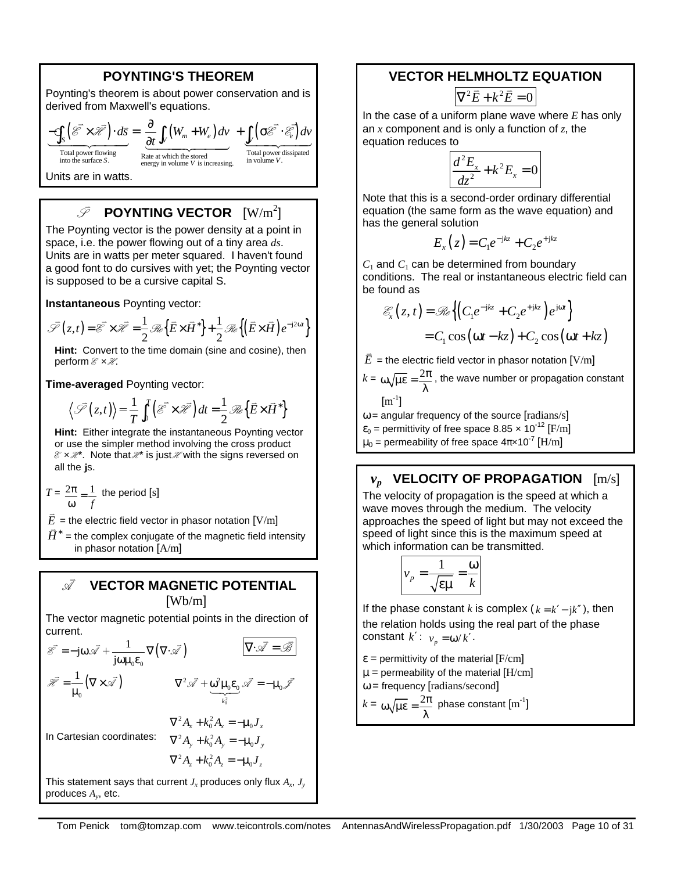### **POYNTING'S THEOREM**

Poynting's theorem is about power conservation and is derived from Maxwell's equations.

$$
\underbrace{-\oint_{S} (\overrightarrow{\mathscr{E}} \times \overrightarrow{\mathscr{H}}) \cdot d\overrightarrow{s}}_{\text{Total power flowing}} = \underbrace{\frac{\partial}{\partial t} \int_{V} (W_{m} + W_{e}) dv}_{\text{Rate at which the stored} + \underbrace{\int_{V} (\sigma \overrightarrow{\mathscr{E}} \cdot \overrightarrow{\mathscr{E}_{e}}) dv}_{\text{Total power dissipated}}
$$
\n
$$
= \underbrace{\int_{\text{Total power dissipated}} \int_{\text{int of a power dissipated}} \overrightarrow{Rate at which the stored in volume } V \text{ is increasing.}}_{\text{in volume } V \text{ is increasing.}}
$$

Units are in watts.

#### S  $\vec{v}$ **POYNTING VECTOR**  $\left[\text{W/m}^2\right]$

The Poynting vector is the power density at a point in space, i.e. the power flowing out of a tiny area *ds*. Units are in watts per meter squared. I haven't found a good font to do cursives with yet; the Poynting vector is supposed to be a cursive capital S.

**Instantaneous** Poynting vector:

$$
\overrightarrow{\mathcal{S}}(z,t) = \overrightarrow{\mathcal{E}} \times \overrightarrow{\mathcal{H}} = \frac{1}{2} \mathcal{R} \left\{ \overrightarrow{E} \times \overrightarrow{H}^* \right\} + \frac{1}{2} \mathcal{R} \left\{ \left( \overrightarrow{E} \times \overrightarrow{H} \right) e^{-j2\omega t} \right\}
$$

**Hint:** Convert to the time domain (sine and cosine), then perform  $\mathscr{E} \times \mathscr{H}$ .

**Time-averaged** Poynting vector:

$$
\left\langle \tilde{\mathcal{S}}(z,t) \right\rangle = \frac{1}{T} \int_0^T \left( \tilde{\mathcal{E}} \times \tilde{\mathcal{H}} \right) dt = \frac{1}{2} \mathcal{R} \left\{ \tilde{E} \times \tilde{H}^* \right\}
$$

**Hint:** Either integrate the instantaneous Poynting vector or use the simpler method involving the cross product  $\mathcal{E} \times \mathcal{H}$ . Note that  $\mathcal{H}$  is just  $\mathcal{H}$  with the signs reversed on all the **j**s.

 $T = \frac{2\pi}{1} = \frac{1}{1}$ *f*  $\frac{2\pi}{\omega}$  = the period [s]

 $\vec{E}$  = the electric field vector in phasor notation [V/m]

 $\overline{H}^*$  = the complex conjugate of the magnetic field intensity in phasor notation [A/m]

#### A v  **VECTOR MAGNETIC POTENTIAL** [Wb/m]

The vector magnetic potential points in the direction of current.

$$
\mathcal{E} = -j\omega \mathcal{A} + \frac{1}{j\omega\mu_0 \varepsilon_0} \nabla (\nabla \cdot \mathcal{A}) \qquad \qquad \overline{\nabla \cdot \mathcal{A} = \mathcal{B}}
$$

$$
\mathcal{H} = \frac{1}{\mu_0} (\nabla \times \mathcal{A}) \qquad \qquad \nabla^2 \mathcal{A} + \frac{\omega^2 \mu_0 \varepsilon_0}{\frac{\varepsilon_0^2}{\lambda_0^2}} \mathcal{A} = -\mu_0 \mathcal{A}
$$
In Cartesian coordinates: 
$$
\nabla^2 A_x + k_0^2 A_y = -\mu_0 J_y
$$

$$
\nabla^2 A_z + k_0^2 A_z = -\mu_0 J_z
$$

This statement says that current  $J_x$  produces only flux  $A_x$ ,  $J_y$ produces *A<sup>y</sup>* , etc.

## **VECTOR HELMHOLTZ EQUATION**

$$
\nabla^2 \vec{E} + k^2 \vec{E} = 0
$$

In the case of a uniform plane wave where *E* has only an *x* component and is only a function of *z*, the equation reduces to

$$
\frac{d^2E_x}{dz^2} + k^2E_x = 0
$$

Note that this is a second-order ordinary differential equation (the same form as the wave equation) and has the general solution

$$
E_x(z) = C_1 e^{-jkz} + C_2 e^{+jkz}
$$

 $C_1$  and  $C_1$  can be determined from boundary conditions. The real or instantaneous electric field can be found as

$$
\mathcal{E}_x(z,t) = \mathcal{R}_e \left\{ \left( C_1 e^{-jkz} + C_2 e^{+jkz} \right) e^{j\omega t} \right\}
$$
  
=  $C_1 \cos(\omega t - kz) + C_2 \cos(\omega t + kz)$ 

 $\bar{E}$  = the electric field vector in phasor notation [V/m]

$$
k = \omega \sqrt{\mu \varepsilon} = \frac{2\pi}{\lambda}
$$
, the wave number or propagation constant  
[ $m^{-1}$ ]

 $\omega$  = angular frequency of the source [radians/s]

 $\varepsilon_0$  = permittivity of free space 8.85  $\times$  10<sup>-12</sup> [F/m]

 $\mu_0$  = permeability of free space 4π×10 $^7$  [H/m]

# *vp* **VELOCITY OF PROPAGATION** [m/s]

The velocity of propagation is the speed at which a wave moves through the medium. The velocity approaches the speed of light but may not exceed the speed of light since this is the maximum speed at which information can be transmitted.

$$
v_p = \frac{1}{\sqrt{\varepsilon \mu}} = \frac{\omega}{k}
$$

If the phase constant *k* is complex  $(k = k' - jk'')$ , then the relation holds using the real part of the phase constant  $k'$ :  $v_p = \omega / k'$ .

 $\varepsilon$  = permittivity of the material [F/cm]  $\mu$  = permeability of the material [H/cm]  $\omega$  = frequency [radians/second]  $k = \omega \sqrt{\mu \varepsilon} = \frac{2\pi}{\lambda}$ phase constant  $\left[\text{m}^{\text{-}1}\right]$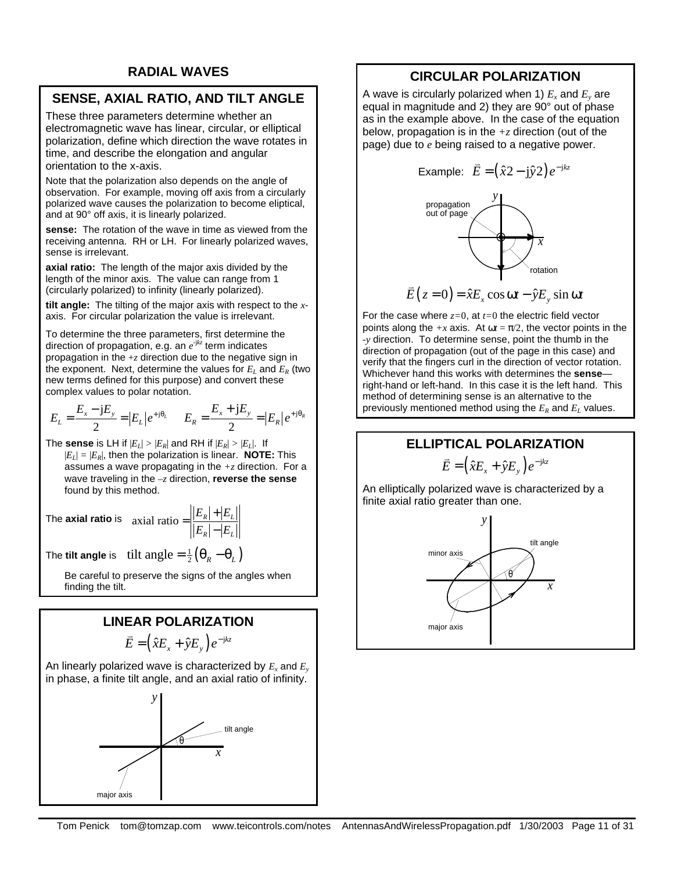# **SENSE, AXIAL RATIO, AND TILT ANGLE**

These three parameters determine whether an electromagnetic wave has linear, circular, or elliptical polarization, define which direction the wave rotates in time, and describe the elongation and angular orientation to the x-axis.

Note that the polarization also depends on the angle of observation. For example, moving off axis from a circularly polarized wave causes the polarization to become eliptical, and at 90° off axis, it is linearly polarized.

**sense:** The rotation of the wave in time as viewed from the receiving antenna. RH or LH. For linearly polarized waves, sense is irrelevant.

**axial ratio:** The length of the major axis divided by the length of the minor axis. The value can range from 1 (circularly polarized) to infinity (linearly polarized).

**tilt angle:** The tilting of the major axis with respect to the *x*axis. For circular polarization the value is irrelevant.

To determine the three parameters, first determine the direction of propagation, e.g. an *e* -j*kz* term indicates propagation in the  $+z$  direction due to the negative sign in the exponent. Next, determine the values for  $E_I$  and  $E_R$  (two new terms defined for this purpose) and convert these complex values to polar notation.

$$
E_{L} = \frac{E_{x} - jE_{y}}{2} = |E_{L}|e^{+j\theta_{L}} \qquad E_{R} = \frac{E_{x} + jE_{y}}{2} = |E_{R}|e^{+j\theta_{R}}
$$

The **sense** is LH if  $|E_L| > |E_R|$  and RH if  $|E_R| > |E_L|$ . If  $|E_I| = |E_R|$ , then the polarization is linear. **NOTE:** This assumes a wave propagating in the *+z* direction. For a wave traveling in the *–z* direction, **reverse the sense** found by this method.

The **axial ratio** is axial ratio  $=$   $\frac{|E_R|+|E_L|}{|E_L|+|E_L|}$  $R$   $\mid$   $\mid$   $\sim$   $L$  $E_{\scriptscriptstyle R} | + |E$  $E_{\scriptscriptstyle R} \vert - \vert E$  $=\left|\frac{|E_{R}|+|}{|E_{R}|}\right|$ −

The **tilt angle** is tilt angle  $= \frac{1}{2}(\theta_R - \theta_L)$ 

Be careful to preserve the signs of the angles when finding the tilt.

# **LINEAR POLARIZATION**  $\vec{E} = (\hat{x}E_x + \hat{y}E_y)e^{-jkz}$

An linearly polarized wave is characterized by *E<sup>x</sup>* and *E<sup>y</sup>* in phase, a finite tilt angle, and an axial ratio of infinity.



# **CIRCULAR POLARIZATION**

A wave is circularly polarized when 1)  $E_x$  and  $E_y$  are equal in magnitude and 2) they are 90° out of phase as in the example above. In the case of the equation below, propagation is in the *+z* direction (out of the page) due to *e* being raised to a negative power.



For the case where *z=*0, at *t=*0 the electric field vector points along the  $+x$  axis. At  $\omega t = \pi/2$ , the vector points in the *-y* direction. To determine sense, point the thumb in the direction of propagation (out of the page in this case) and verify that the fingers curl in the direction of vector rotation. Whichever hand this works with determines the **sense** right-hand or left-hand. In this case it is the left hand. This method of determining sense is an alternative to the previously mentioned method using the  $E_R$  and  $E_L$  values.

# **ELLIPTICAL POLARIZATION**

 $\vec{E} = (\hat{x}E_x + \hat{y}E_y)e^{-jkz}$ 

An elliptically polarized wave is characterized by a finite axial ratio greater than one.

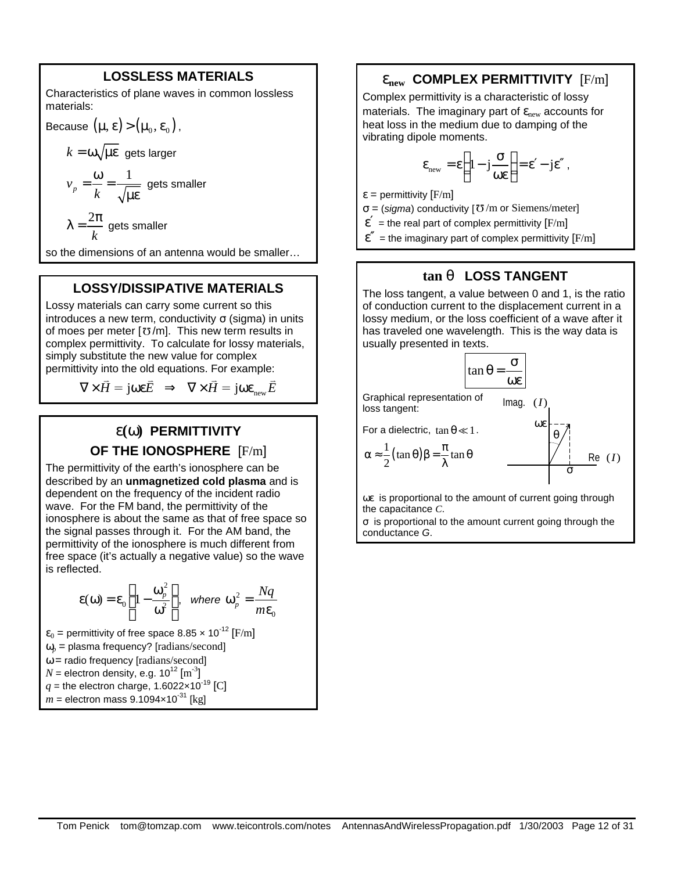#### **LOSSLESS MATERIALS**

Characteristics of plane waves in common lossless materials:

Because 
$$
(\mu, \varepsilon)
$$
 >  $(\mu_0, \varepsilon_0)$ ,

 $k = \omega \sqrt{\mu \varepsilon}$  gets larger 1 *p v*  $=\frac{\omega}{\omega}$  = gets smaller

$$
\lambda = \frac{2\pi}{k} \text{ gets smaller}
$$

so the dimensions of an antenna would be smaller…

#### **LOSSY/DISSIPATIVE MATERIALS**

Lossy materials can carry some current so this introduces a new term, conductivity  $σ$  (sigma) in units of moes per meter  $\lceil \sigma/m \rceil$ . This new term results in complex permittivity. To calculate for lossy materials, simply substitute the new value for complex permittivity into the old equations. For example:

$$
\nabla \times \vec{H} = \mathbf{j} \omega \varepsilon \vec{E} \implies \nabla \times \vec{H} = \mathbf{j} \omega \varepsilon_{\text{new}} \vec{E}
$$

# **e(w) PERMITTIVITY OF THE IONOSPHERE** [F/m]

The permittivity of the earth's ionosphere can be described by an **unmagnetized cold plasma** and is dependent on the frequency of the incident radio wave. For the FM band, the permittivity of the ionosphere is about the same as that of free space so the signal passes through it. For the AM band, the permittivity of the ionosphere is much different from free space (it's actually a negative value) so the wave is reflected.

$$
\varepsilon(\omega) = \varepsilon_0 \left( 1 - \frac{\omega_p^2}{\omega^2} \right), \text{ where } \omega_p^2 = \frac{Nq}{m\varepsilon_0}
$$

 $\varepsilon_0$  = permittivity of free space 8.85  $\times$  10<sup>-12</sup> [F/m]  $\omega_p$  = plasma frequency? [radians/second]  $\omega$  = radio frequency [radians/second]  $N$  = electron density, e.g. 10<sup>12</sup>  $\mathrm{[m\textsuperscript{-3}]}$  $q$  = the electron charge, 1.6022×10<sup>-19</sup> [C]  $m =$  electron mass 9.1094×10<sup>-31</sup> [kg]

#### **enew COMPLEX PERMITTIVITY** [F/m]

Complex permittivity is a characteristic of lossy materials. The imaginary part of  $\varepsilon_{\text{new}}$  accounts for heat loss in the medium due to damping of the vibrating dipole moments.

$$
\epsilon_{\text{new}} = \epsilon \left( 1 - j \frac{\sigma}{\omega \epsilon} \right) = \epsilon' - j \epsilon'',
$$

 $\varepsilon$  = permittivity [F/m]

 $\sigma$  = (*sigma*) conductivity [ $\sigma$ /m or Siemens/meter]

 $\varepsilon'$  = the real part of complex permittivity [F/m]

 $\varepsilon''$  = the imaginary part of complex permittivity  $F/m$ ]

## **tan q LOSS TANGENT**

The loss tangent, a value between 0 and 1, is the ratio of conduction current to the displacement current in a lossy medium, or the loss coefficient of a wave after it has traveled one wavelength. This is the way data is usually presented in texts.

$$
\tan \theta = \frac{\sigma}{\omega \epsilon}
$$

Graphical representation of loss tangent:  $Imaa. (I)$ ωε

For a dielectric,  $\tan \theta \ll 1$ .

$$
\alpha \approx \frac{1}{2} (\tan \theta) \beta = \frac{\pi}{\lambda} \tan \theta
$$

σ ωε is proportional to the amount of current going through

θ

 $Re(I)$ 

the capacitance *C*. σ is proportional to the amount current going through the conductance *G*.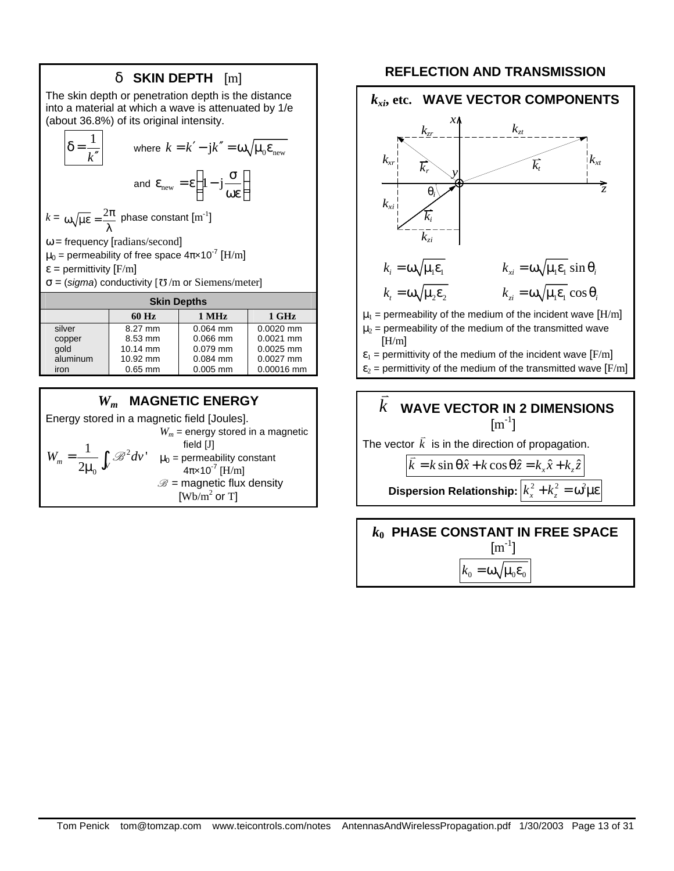# *d* **SKIN DEPTH** [m]

The skin depth or penetration depth is the distance into a material at which a wave is attenuated by 1/e (about 36.8%) of its original intensity.

$$
\delta = \frac{1}{k''}
$$
 where  $k = k' - jk'' = \omega \sqrt{\mu_0 \varepsilon_{\text{new}}}$   
and  $\varepsilon_{\text{new}} = \varepsilon \left(1 - j \frac{\sigma}{\omega \varepsilon}\right)$ 

 $k = \omega \sqrt{\mu \varepsilon} = \frac{2\pi}{\lambda}$ phase constant  $\text{[m}^{\text{-}1}\text{]}$  $\omega$  = frequency [radians/second]  $\mu_0$  = permeability of free space 4π×10 $^7$  [H/m]

 $\varepsilon$  = permittivity [F/m]

 $\sigma$  = (*sigma*) conductivity [ $\sigma$ /m or Siemens/meter]

| <b>Skin Depths</b> |           |            |             |
|--------------------|-----------|------------|-------------|
|                    | 60 Hz     | 1 MHz      | 1 GHz       |
| silver             | 8.27 mm   | $0.064$ mm | $0.0020$ mm |
| copper             | 8.53 mm   | $0.066$ mm | $0.0021$ mm |
| qold               | 10.14 mm  | $0.079$ mm | 0.0025 mm   |
| aluminum           | 10.92 mm  | $0.084$ mm | $0.0027$ mm |
| iron               | $0.65$ mm | $0.005$ mm | 0.00016 mm  |

# *Wm* **MAGNETIC ENERGY**

Energy stored in a magnetic field [Joules]. 2  $\mathbf{0}$  $W_m = \frac{1}{2\mu_0} \int_V \mathcal{B}^2 dv'$  $\frac{1}{\mu_0}\int_V \mathscr{B}$  $W_m$  = energy stored in a magnetic field [J]  $\mu_0$  = permeability constant 4π×10<sup>-7</sup> [H/m]  $\mathscr{B}$  = magnetic flux density [ $Wb/m^2$  or T]

## **REFLECTION AND TRANSMISSION**



 $\mu_2$  = permeability of the medium of the transmitted wave [H/m]

 $\varepsilon_1$  = permittivity of the medium of the incident wave [F/m]

 $\varepsilon_2$  = permittivity of the medium of the transmitted wave [F/m]

#### *k*  $\frac{1}{\sqrt{2}}$  **WAVE VECTOR IN 2 DIMENSIONS**  $\rm [m^{-1}]$ The vector  $\vec{k}$  is in the direction of propagation.

 $\overline{k} = k \sin \theta \hat{x} + k \cos \theta \hat{z} = k_x \hat{x} + k_z \hat{z}$  $\frac{1}{\cdot}$ 

**Dispersion Relationship:**  $\left| k_x^2 + k_z^2 = \omega^2 \right|$ με

*k***0 PHASE CONSTANT IN FREE SPACE**  $\rm [m^{-1}]$  $k_0 = \omega \sqrt{\mu_0 \varepsilon_0}$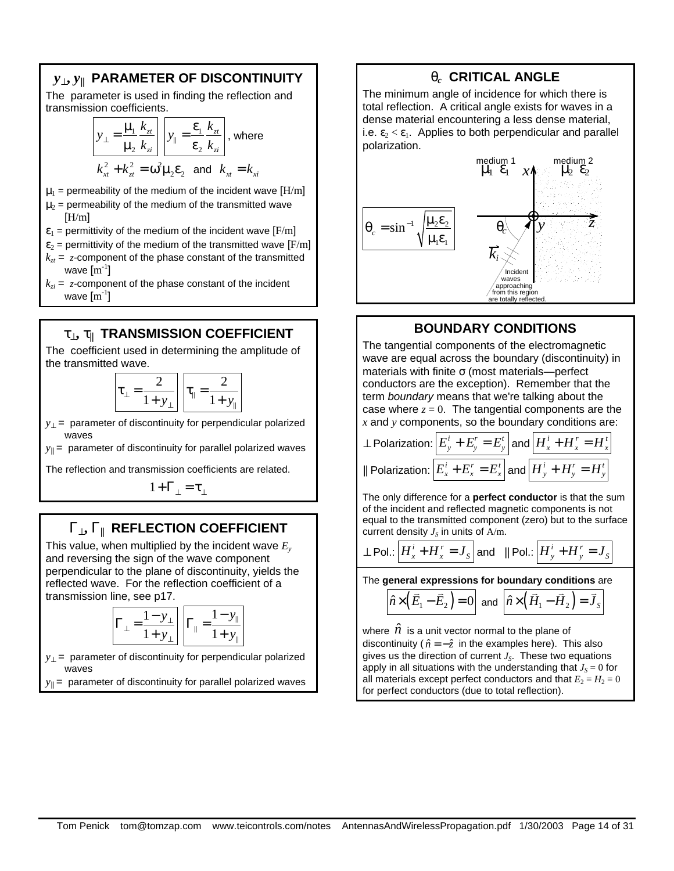# *y***^,** *y***|| PARAMETER OF DISCONTINUITY**

The parameter is used in finding the reflection and transmission coefficients.

$$
y_{\perp} = \frac{\mu_1}{\mu_2} \frac{k_{zt}}{k_{zi}} \quad y_{\parallel} = \frac{\varepsilon_1}{\varepsilon_2} \frac{k_{zt}}{k_{zi}} \quad \text{where}
$$
\n
$$
k_{xt}^2 + k_{zt}^2 = \omega^2 \mu_2 \varepsilon_2 \quad \text{and} \quad k_{xt} = k_{xt}
$$

- $\mu_1$  = permeability of the medium of the incident wave [H/m]
- $\mu_2$  = permeability of the medium of the transmitted wave  $[H/m]$
- $\varepsilon_1$  = permittivity of the medium of the incident wave [F/m]
- $\varepsilon_2$  = permittivity of the medium of the transmitted wave [F/m]  $k_{\tau t}$  = *z*-component of the phase constant of the transmitted wave  $\mathrm{[m^{\text{-}1}]}$
- $k_{zi}$  = *z*-component of the phase constant of the incident wave  $\mathrm{[m^{\text{-}1}]}$

# **t^, t|| TRANSMISSION COEFFICIENT**

The coefficient used in determining the amplitude of the transmitted wave.

$$
\boxed{\tau_{\perp} = \frac{2}{1 + y_{\perp}}} \boxed{\tau_{\parallel} = \frac{2}{1 + y_{\parallel}}}
$$

*y*⊥ = parameter of discontinuity for perpendicular polarized waves

 $y_{\parallel}$  = parameter of discontinuity for parallel polarized waves

The reflection and transmission coefficients are related.

 $1+\Gamma_{\perp}=\tau_{\perp}$ 

# **G^, G|| REFLECTION COEFFICIENT**

This value, when multiplied by the incident wave *E<sup>y</sup>* and reversing the sign of the wave component perpendicular to the plane of discontinuity, yields the reflected wave. For the reflection coefficient of a transmission line, see p17.

$$
\Gamma_{\perp} = \frac{1 - y_{\perp}}{1 + y_{\perp}} \quad \Gamma_{\parallel} = \frac{1 - y_{\parallel}}{1 + y_{\parallel}}
$$

*y*<sub>⊥</sub> = parameter of discontinuity for perpendicular polarized waves

 $y_{\parallel}$  = parameter of discontinuity for parallel polarized waves

# **q***c* **CRITICAL ANGLE**

The minimum angle of incidence for which there is total reflection. A critical angle exists for waves in a dense material encountering a less dense material, i.e.  $\epsilon_2 < \epsilon_1$ . Applies to both perpendicular and parallel polarization.



# **BOUNDARY CONDITIONS**

The tangential components of the electromagnetic wave are equal across the boundary (discontinuity) in materials with finite σ (most materials—perfect conductors are the exception). Remember that the term *boundary* means that we're talking about the case where  $z = 0$ . The tangential components are the *x* and *y* components, so the boundary conditions are:

$$
\text{A Polarization:} \boxed{E_y^i + E_y^r = E_y^t} \text{ and } \boxed{H_x^i + H_x^r = H_x^t}
$$
\n
$$
\text{II Polarization:} \boxed{E_x^i + E_x^r = E_x^t} \text{ and } \boxed{H_y^i + H_y^r = H_y^t}
$$

The only difference for a **perfect conductor** is that the sum of the incident and reflected magnetic components is not equal to the transmitted component (zero) but to the surface current density  $J_S$  in units of  $A/m$ .

$$
\sim \text{Pol.}:\boxed{H_x^i + H_x^r = J_s}
$$
 and  $\parallel \text{Pol.}:\boxed{H_y^i + H_y^r = J_s}$ 

The **general expressions for boundary conditions** are

$$
\hat{n}\times(\overline{E}_1-\overline{E}_2)=0
$$
 and  $\hat{n}\times(\overline{H}_1-\overline{H}_2)=\overline{J}_s$ 

where  $\hat{n}$  is a unit vector normal to the plane of discontinuity ( $\hat{n} = -\hat{z}$  in the examples here). This also gives us the direction of current *J<sup>S</sup>* . These two equations apply in all situations with the understanding that  $J_s = 0$  for all materials except perfect conductors and that  $E_2 = H_2 = 0$ for perfect conductors (due to total reflection).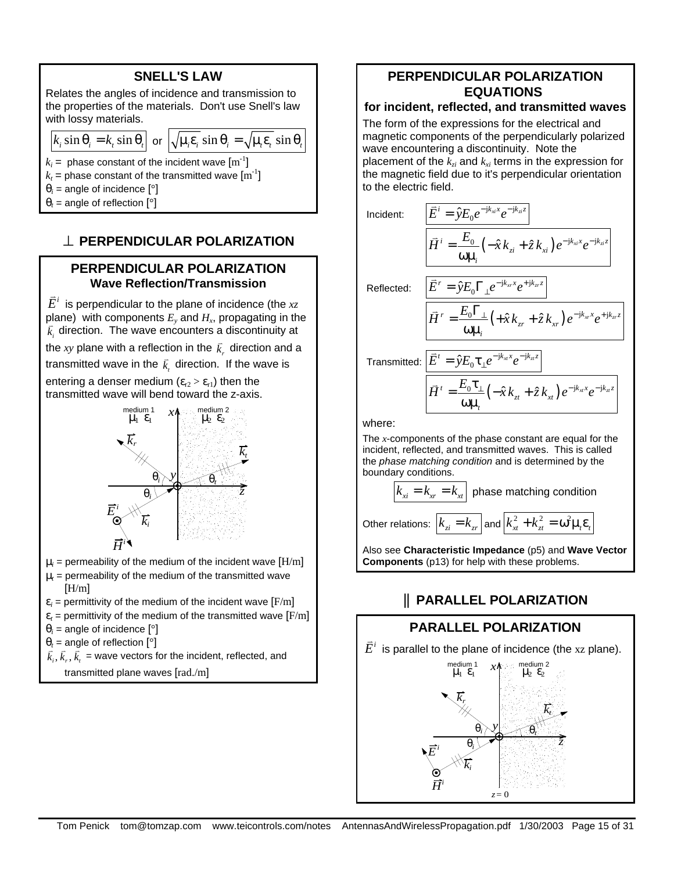| <b>SNELL'S LAW</b>                                                                                                                                                                                                             |  |
|--------------------------------------------------------------------------------------------------------------------------------------------------------------------------------------------------------------------------------|--|
| Relates the angles of incidence and transmission to<br>the properties of the materials. Don't use Snell's law<br>with lossy materials.                                                                                         |  |
| $\left k_i \sin \theta_i = k_t \sin \theta_i \right $ or $\left \sqrt{\mu_i \varepsilon_i} \sin \theta_i = \sqrt{\mu_i \varepsilon_i} \sin \theta_i \right $                                                                   |  |
| $k_i$ = phase constant of the incident wave $\text{[m}^{-1}\text{]}$<br>$k_t$ = phase constant of the transmitted wave $\text{[m}^{-1}\text{]}$<br>$\theta_i$ = angle of incidence [°]<br>$\theta_t$ = angle of reflection [°] |  |

# **^ PERPENDICULAR POLARIZATION**

# **PERPENDICULAR POLARIZATION Wave Reflection/Transmission**

 $\bar{E}^i$  is perpendicular to the plane of incidence (the  $\bar{xz}$ plane) with components  $E_y$  and  $H_x$ , propagating in the  $\vec{k}_i$  direction. The wave encounters a discontinuity at  $\vec{k}_i$ 

the xy plane with a reflection in the  $\vec{k}_r$  direction and a transmitted wave in the  $\vec{k}$ , direction. If the wave is

entering a denser medium  $(\varepsilon_{r2} > \varepsilon_{r1})$  then the transmitted wave will bend toward the z-axis.



- $\mu_i$  = permeability of the medium of the incident wave  $[\text{H/m}]$
- $\mu_t$  = permeability of the medium of the transmitted wave  $[H/m]$
- $\varepsilon_i$  = permittivity of the medium of the incident wave  $\text{[F/m]}$
- $\varepsilon_t$  = permittivity of the medium of the transmitted wave  $\text{[F/m]}$
- $\theta_i$  = angle of incidence [ $\degree$ ]
- $\theta_t$  = angle of reflection [ $\degree$ ]
- $\vec{k}_i$ ,  $\vec{k}_r$ ,  $\vec{k}_r$  = wave vectors for the incident, reflected, and
	- transmitted plane waves [rad./m]

# **PERPENDICULAR POLARIZATION EQUATIONS**

# **for incident, reflected, and transmitted waves**

The form of the expressions for the electrical and magnetic components of the perpendicularly polarized wave encountering a discontinuity. Note the placement of the *kzi* and *kxi* terms in the expression for the magnetic field due to it's perpendicular orientation to the electric field.

$$
\begin{aligned}\n\text{Incident:} \qquad & \frac{\overline{E}^i = \hat{y} E_0 e^{-j k_{x i} x} e^{-j k_{z i} z}}{\overline{H}^i = \frac{E_0}{\omega \mu_i} \left( -\hat{x} k_{z i} + \hat{z} k_{x i} \right) e^{-j k_{x i} x} e^{-j k_{z i} z}} \\
\text{Reflected:} \qquad & \frac{\overline{E}^r = \hat{y} E_0 \Gamma_\perp e^{-j k_{x x} x} e^{+j k_{z z}}}{\overline{H}^r = \frac{E_0 \Gamma_\perp}{\omega \mu_i} \left( +\hat{x} k_{z r} + \hat{z} k_{x r} \right) e^{-j k_{x r} x} e^{+j k_{z r} z}} \\
\text{Transmitted:} \qquad & \frac{\overline{E}^i = \hat{y} E_0 \tau_\perp e^{-j k_{x i} x} e^{-j k_{z z}}}{\overline{H}^i = \frac{E_0 \tau_\perp}{\omega \mu_i} \left( -\hat{x} k_{z t} + \hat{z} k_{x t} \right) e^{-j k_{x i} x} e^{-j k_{z z}}}\n\end{aligned}
$$

where:

The *x*-components of the phase constant are equal for the incident, reflected, and transmitted waves. This is called the *phase matching condition* and is determined by the boundary conditions.

$$
k_{xi} = k_{xr} = k_{xt}
$$
 phase matching condition  
Other relations: 
$$
k_{zi} = k_{xr}
$$
 and 
$$
k_{xt}^2 + k_{zt}^2 = \omega^2 \mu_i \varepsilon_i
$$

Also see **Characteristic Impedance** (p5) and **Wave Vector Components** (p13) for help with these problems.

# **|| PARALLEL POLARIZATION**

# **PARALLEL POLARIZATION**

 $\bar{E}^i$  is parallel to the plane of incidence (the xz plane). medium 1 medium 2

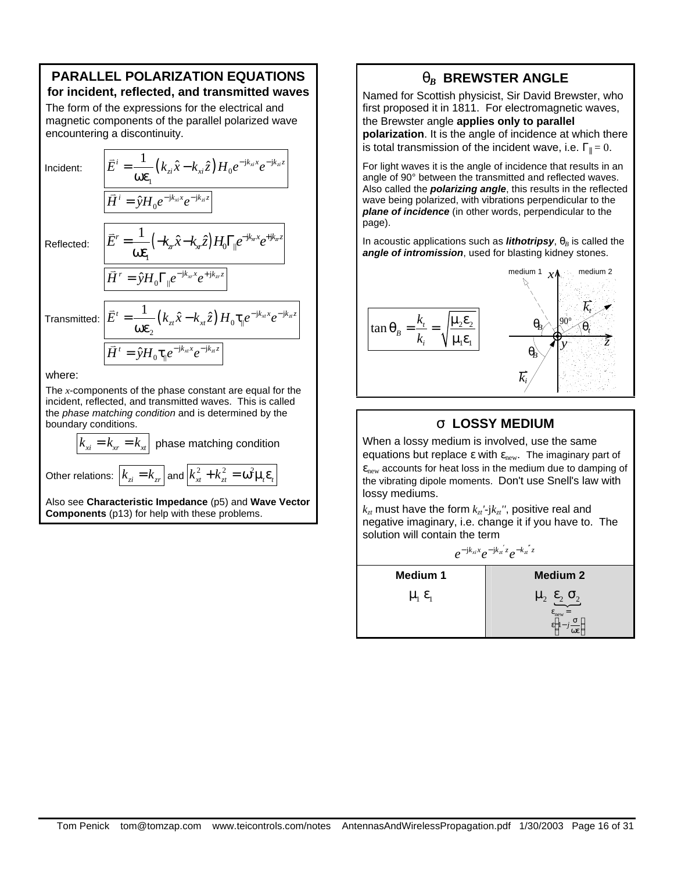## **PARALLEL POLARIZATION EQUATIONS for incident, reflected, and transmitted waves**

The form of the expressions for the electrical and magnetic components of the parallel polarized wave encountering a discontinuity.

Incident:

$$
\vec{E}^i = \frac{1}{\omega \varepsilon_1} (k_{zi}\hat{x} - k_{xi}\hat{z}) H_0 e^{-jk_{xi}x} e^{-jk_{zi}z}
$$
\n
$$
\vec{H}^i = \hat{y} H_0 e^{-jk_{xi}x} e^{-jk_{zi}z}
$$
\n
$$
\vec{E}^r = \frac{1}{\omega \varepsilon_1} (-k_{xi}x - k_{xi}z) H_0 \Gamma_{\parallel} e^{-jk_{xi}x} e^{+jk_{xi}z}
$$
\n
$$
\vec{H}^r = \hat{y} H_0 \Gamma_{\parallel} e^{-jk_{xi}x} e^{+jk_{xi}z}
$$

Reflected:

Transmitted:  $\big|\vec{E}^t = \frac{1}{\sqrt{2}}\big(k_{zt}\hat{x}-k_{xt}\hat{z}\big)H_0\tau_{\parallel}e^{-\mathrm{j}k_{xt}x}e^{-\mathrm{j}k_{xt}x}$ 0 2  $\vec{E}^t = \frac{1}{\cos(\theta)} (k_{zt}\hat{x} - k_{xt}\hat{z}) H_0 \tau_{\parallel} e^{-jk_{xt}x} e^{-jk_{xt}z}$  $\omega \varepsilon_2 \stackrel{(K_{zt} \times K_{xt} \setminus H_0)}{\sim}$  $\vec{r}$  $ik_{tt}x - j$  $\overline{H}^t = \hat{y}H_0 \tau_{\parallel} e^{-jk_{xt}x} e^{-jk_{xt}x}$ 

where:

The *x*-components of the phase constant are equal for the incident, reflected, and transmitted waves. This is called the *phase matching condition* and is determined by the boundary conditions.

 $k_{x} = k_{x} = k_{x}$  phase matching condition

0

Other relations:  $k_{zi} = k_{zr} |$  and  $k_{xi}^2 + k_{zt}^2 = \omega^2 \mu_r \varepsilon_r$ 

Also see **Characteristic Impedance** (p5) and **Wave Vector Components** (p13) for help with these problems.

# **q**<sub>B</sub> BREWSTER ANGLE

Named for Scottish physicist, Sir David Brewster, who first proposed it in 1811. For electromagnetic waves, the Brewster angle **applies only to parallel polarization**. It is the angle of incidence at which there is total transmission of the incident wave, i.e.  $\Gamma_{\parallel} = 0$ .

For light waves it is the angle of incidence that results in an angle of 90° between the transmitted and reflected waves. Also called the *polarizing angle*, this results in the reflected wave being polarized, with vibrations perpendicular to the *plane of incidence* (in other words, perpendicular to the page).

In acoustic applications such as **lithotripsy**,  $\theta_B$  is called the *angle of intromission*, used for blasting kidney stones.



# **s LOSSY MEDIUM**

When a lossy medium is involved, use the same equations but replace  $\varepsilon$  with  $\varepsilon_{\text{new}}$ . The imaginary part of  $\epsilon_{\text{new}}$  accounts for heat loss in the medium due to damping of the vibrating dipole moments. Don't use Snell's law with lossy mediums.

 $k_{zt}$  must have the form  $k_{zt}$ <sup>*'-jk<sub>zt</sub>''*, positive real and</sup> negative imaginary, i.e. change it if you have to. The solution will contain the term

$$
e^{-\mathbf{j}k_{xi}x}e^{-\mathbf{j}k_{xi}z}e^{-k_{xi}z}
$$

| <b>Medium 1</b>             | <b>Medium 2</b>                                                    |
|-----------------------------|--------------------------------------------------------------------|
| $\mu_{1}$ $\varepsilon_{1}$ | $\mu_2$ $\varepsilon_2$ $\sigma_2$<br>v <sub>new</sub><br>$\omega$ |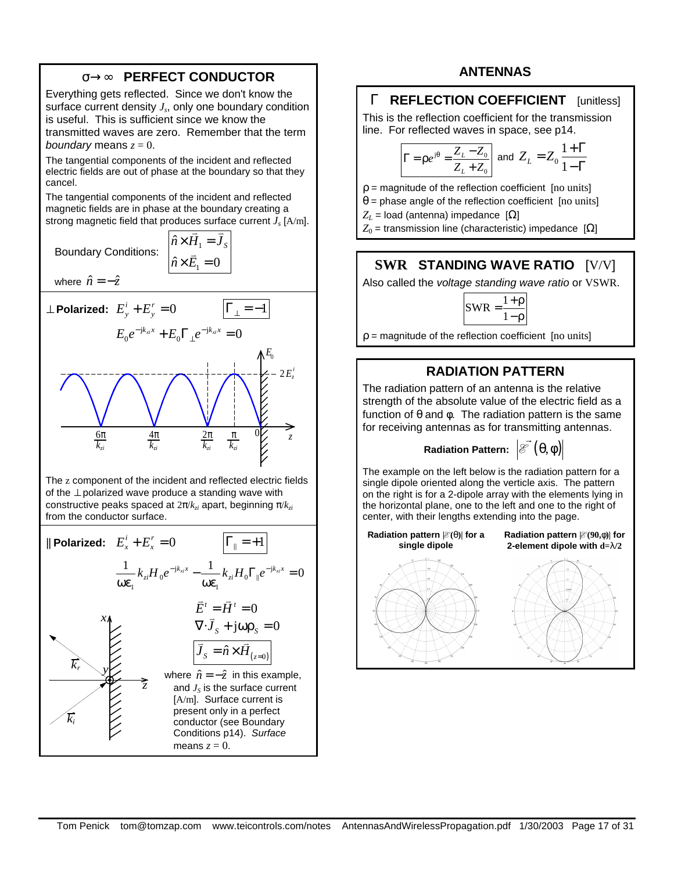# **s®¥ PERFECT CONDUCTOR**

Everything gets reflected. Since we don't know the surface current density *J<sup>s</sup>* , only one boundary condition is useful. This is sufficient since we know the transmitted waves are zero. Remember that the term *boundary* means  $z = 0$ .

The tangential components of the incident and reflected electric fields are out of phase at the boundary so that they cancel.

The tangential components of the incident and reflected magnetic fields are in phase at the boundary creating a strong magnetic field that produces surface current *J<sup>s</sup>* [A/m].  $\hat{n} \times \vec{H}_1 = \vec{J}_s$ 

 $\hat{n} \times \vec{E}_1 = 0$ 

Boundary Conditions: <sup>1</sup>

where  $\hat{n} = -\hat{z}$ 



The z component of the incident and reflected electric fields of the ⊥ polarized wave produce a standing wave with constructive peaks spaced at 2π/*kzi* apart, beginning π/*kzi* from the conductor surface.

| \n <p><b>Plarized:</b></p> \n $E_x^i + E_x^r = 0$ \n $\frac{1}{\omega \varepsilon_1} k_{zi} H_0 e^{-jk_{xi}} - \frac{1}{\omega \varepsilon_1} k_{zi} H_0 \Gamma_{\parallel} e^{-jk_{xi}} = 0$ \n                                                                                                                                                                                                                  |
|-------------------------------------------------------------------------------------------------------------------------------------------------------------------------------------------------------------------------------------------------------------------------------------------------------------------------------------------------------------------------------------------------------------------|
| \n <p><b>EXECUTE:</b></p> \n $\overline{E}^t = \overline{H}^t = 0$ \n $\nabla \cdot \overline{J}_s + j \omega \rho_s = 0$ \n                                                                                                                                                                                                                                                                                      |
| \n <p><b>EXECUTE:</b></p> \n $\overline{J}_s = \hat{n} \times \overline{H}_{(z=0)}$ \n $\overline{J}_s = \hat{n} \times \overline{H}_{(z=0)}$ \n <p>where</p> \n $\hat{n} = -\hat{z}$ \n <p>in this example, and</p> \n $J_s$ \n <p>is the surface current [A/m]. Surface current is present only in a perfect conductor (see Boundary Conditions p14). Surface means <math display="inline">z = 0</math>.</p> \n |

#### **ANTENNAS**

# **G REFLECTION COEFFICIENT** [unitless]

This is the reflection coefficient for the transmission line. For reflected waves in space, see p14.

$$
\Gamma = \rho e^{j\theta} = \frac{Z_L - Z_0}{Z_L + Z_0}
$$
 and  $Z_L = Z_0 \frac{1 + \Gamma}{1 - \Gamma}$ 

 $p =$  magnitude of the reflection coefficient [no units]

- $\theta$  = phase angle of the reflection coefficient [no units]
- $Z_L$  = load (antenna) impedance  $[Ω]$
- $Z_0$  = transmission line (characteristic) impedance  $[Ω]$

# **SWR STANDING WAVE RATIO** [V/V]

Also called the *voltage standing wave ratio* or VSWR.



 $p =$  magnitude of the reflection coefficient [no units]

## **RADIATION PATTERN**

The radiation pattern of an antenna is the relative strength of the absolute value of the electric field as a function of θ and φ. The radiation pattern is the same for receiving antennas as for transmitting antennas.

**Radiation Pattern:**  $\left|\mathscr{E}\right.(\theta,\phi)\right|$  $\overline{a}$ 

The example on the left below is the radiation pattern for a single dipole oriented along the verticle axis. The pattern on the right is for a 2-dipole array with the elements lying in the horizontal plane, one to the left and one to the right of center, with their lengths extending into the page.

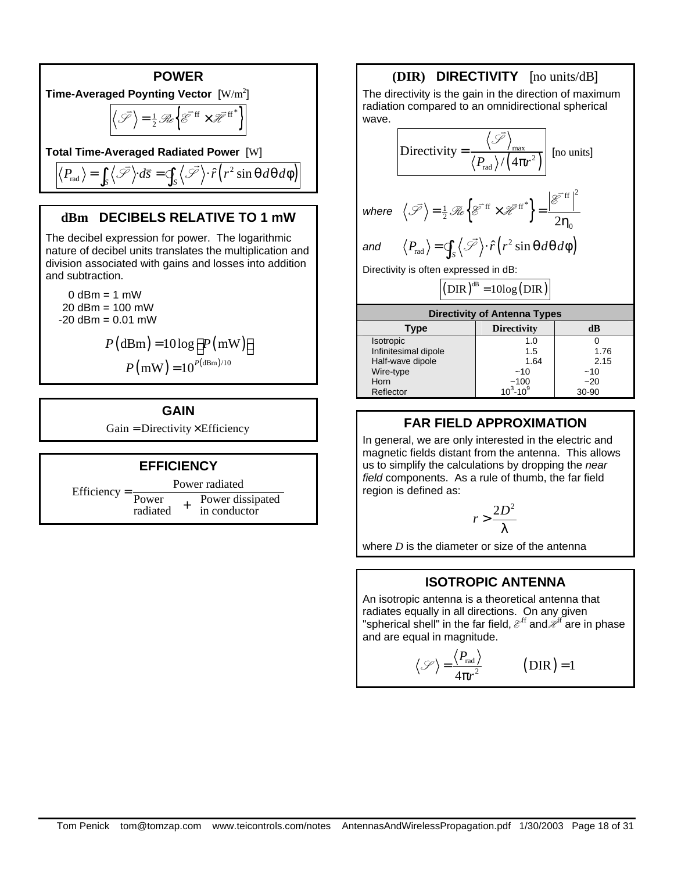

# **dBm DECIBELS RELATIVE TO 1 mW**

The decibel expression for power. The logarithmic nature of decibel units translates the multiplication and division associated with gains and losses into addition and subtraction.

 $0$  dBm = 1 mW  $20$  dBm = 100 mW  $-20$  dBm =  $0.01$  mW

$$
P(\text{dBm}) = 10 \log \left[ P(\text{mW}) \right]
$$

$$
P(\text{mW}) = 10^{P(\text{dBm})/10}
$$

#### **GAIN**

 $Gain = Directory \times Efficiency$ 



#### **(DIR) DIRECTIVITY** [no units/dB] The directivity is the gain in the direction of maximum radiation compared to an omnidirectional spherical wave.  $(4\pi r^2)$ max 2 rad **Directivity**  $\langle P_{\rm rad} \rangle / (4 \pi r)$ = π S  $\frac{1}{2}$  [no units] where  $\langle \mathcal{S} \rangle = \frac{1}{2} \Re \{ \mathcal{E}^{\text{H}} \times \mathcal{H}^{\text{H}} \}$  =  $\frac{1}{2}$   $\mathcal{R}e^{\left[\overline{\mathcal{E}}^{\text{eff}} \times \overline{\mathcal{H}}^{\text{eff}}\right]^2}$  =  $\frac{\left|\overline{\mathcal{E}}^{\text{eff}}\right|^2}{2\eta_0}$  $=\frac{1}{2}\mathcal{R}_{e}\left\{\mathcal{E}^{\text{ff}}\times\mathcal{H}^{\text{ff}}\right\}=$ η E  $\mathscr{S}\rangle = \frac{1}{2}\mathscr{R}_e\mathscr{E}^{\text{ff}}\times\mathscr{H}$  $\frac{1}{2}$  $\vec{v}$   $\rightarrow$   $\vec{v}$   $\vec{v}$   $\rightarrow$   $\vec{v}$  $\langle P_{\text{rad}} \rangle = \oint_{S} \langle \vec{\mathscr{S}} \rangle \cdot \hat{r} (r^2 \sin \theta d\theta d\phi)$  $\vec{r}$  $\oint$

Directivity is often expressed in dB:

 $(DIR)^{dB} = 10log(DIR)$ 

| <b>Directivity of Antenna Types</b> |                    |       |  |
|-------------------------------------|--------------------|-------|--|
| <b>Type</b>                         | <b>Directivity</b> | dB    |  |
| <b>Isotropic</b>                    | 1.0                |       |  |
| Infinitesimal dipole                | 1.5                | 1.76  |  |
| Half-wave dipole                    | 1.64               | 2.15  |  |
| Wire-type                           | $-10$              | $-10$ |  |
| Horn                                | ~100               | $-20$ |  |
| Reflector                           | $10^3 - 10^9$      | 30-90 |  |

# **FAR FIELD APPROXIMATION**

In general, we are only interested in the electric and magnetic fields distant from the antenna. This allows us to simplify the calculations by dropping the *near field* components. As a rule of thumb, the far field region is defined as:

$$
r>\frac{2D^2}{\lambda}
$$

where *D* is the diameter or size of the antenna

# **ISOTROPIC ANTENNA**

An isotropic antenna is a theoretical antenna that radiates equally in all directions. On any given "spherical shell" in the far field,  $\mathcal{E}^{\text{ff}}$  and  $\mathcal{H}^{\text{ff}}$  are in phase and are equal in magnitude.

$$
\langle \mathcal{S} \rangle = \frac{\langle P_{\text{rad}} \rangle}{4\pi r^2}
$$
 (DIR) = 1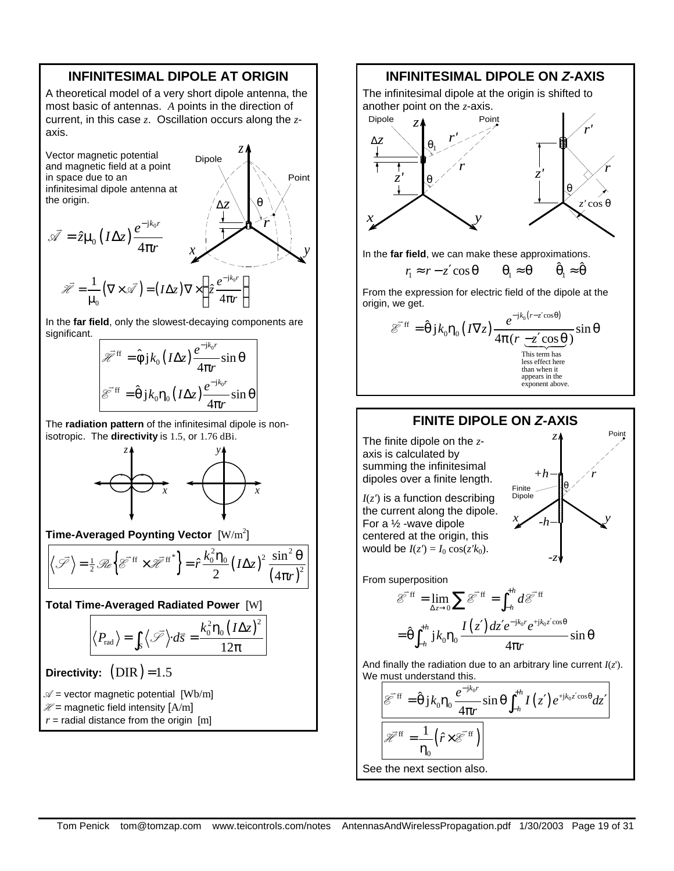## **INFINITESIMAL DIPOLE AT ORIGIN**

A theoretical model of a very short dipole antenna, the most basic of antennas. *A* points in the direction of current, in this case *z*. Oscillation occurs along the *z*axis.

*z*

θ

*y*

Point

Dipole

Vector magnetic potential and magnetic field at a point in space due to an infinitesimal dipole antenna at the origin.

the origin.  
\n
$$
\vec{\mathscr{A}} = \hat{z}\mu_0 (I\Delta z) \frac{e^{-jk_0r}}{4\pi r} \qquad x \qquad \qquad \overbrace{\vec{z} \qquad \vec{z} \qquad \vec{z} \qquad \vec{z} \qquad \vec{z} \qquad \vec{z} \qquad \vec{z} \qquad \vec{z} \qquad \vec{z} \qquad \vec{z} \qquad \vec{z} \qquad \vec{z} \qquad \vec{z} \qquad \vec{z} \qquad \vec{z} \qquad \vec{z} \qquad \vec{z} \qquad \vec{z} \qquad \vec{z} \qquad \vec{z} \qquad \vec{z} \qquad \vec{z} \qquad \vec{z} \qquad \vec{z} \qquad \vec{z} \qquad \vec{z} \qquad \vec{z} \qquad \vec{z} \qquad \vec{z} \qquad \vec{z} \qquad \vec{z} \qquad \vec{z} \qquad \vec{z} \qquad \vec{z} \qquad \vec{z} \qquad \vec{z} \qquad \vec{z} \qquad \vec{z} \qquad \vec{z} \qquad \vec{z} \qquad \vec{z} \qquad \vec{z} \qquad \vec{z} \qquad \vec{z} \qquad \vec{z} \qquad \vec{z} \qquad \vec{z} \qquad \vec{z} \qquad \vec{z} \qquad \vec{z} \qquad \vec{z} \qquad \vec{z} \qquad \vec{z} \qquad \vec{z} \qquad \vec{z} \qquad \vec{z} \qquad \vec{z} \qquad \vec{z} \qquad \vec{z} \qquad \vec{z} \qquad \vec{z} \qquad \vec{z} \qquad \vec{z} \qquad \vec{z} \qquad \vec{z} \qquad \vec{z} \qquad \vec{z} \qquad \vec{z} \qquad \vec{z} \qquad \vec{z} \qquad \vec{z} \qquad \vec{z} \qquad \vec{z} \qquad \vec{z} \qquad \vec{z} \qquad \vec{z} \qquad \vec{z} \qquad \vec{z} \qquad \vec{z} \qquad \vec{z} \qquad \vec{z} \qquad \vec{z} \qquad \vec{z} \qquad \vec{z} \qquad \vec{z} \qquad \vec{z} \qquad \vec{z} \qquad \vec{z} \
$$

In the **far field**, only the slowest-decaying components are significant.

$$
\mathcal{H}^{\text{ff}} = \hat{\phi} j k_0 (I \Delta z) \frac{e^{-jk_0 r}}{4\pi r} \sin \theta
$$

$$
\mathcal{E}^{\text{ff}} = \hat{\theta} j k_0 \eta_0 (I \Delta z) \frac{e^{-jk_0 r}}{4\pi r} \sin \theta
$$

The **radiation pattern** of the infinitesimal dipole is nonisotropic. The **directivity** is 1.5, or 1.76 dBi.



**Time-Averaged Poynting Vector** [W/m<sup>2</sup>]

 $\left\{ \mathcal{E}^{\text{H}} \times \mathcal{H}^{\text{H}} \right\} = \hat{r} \frac{\kappa_0 \cdot r_0}{2} (I \Delta z)$  $(4\pi r)^2$  $\frac{1}{2}$   $\mathcal{R}e^{\left\{\mathcal{E}^{\text{eff}} \times \mathcal{H}^{\text{eff}}\right\}}$  =  $\hat{r} \frac{k_0^2 \eta_0}{2} \left(I \Delta z\right)^2 \frac{\sin^2 \theta}{\left(I \Delta z\right)^2}$ 2  $(4)$  $\left\{\mathcal{F}\right\} = \frac{1}{2} \mathcal{R}e\left\{\mathcal{E}^{\text{eff}} \times \mathcal{H}^{\text{eff}}\right\} = \hat{r}\frac{k_0^2 \eta_0}{2} \left(I \Delta z\right)^2 \frac{\sin^2 \theta_0}{\sqrt{2\pi}}$  $\vec{v}$   $\rightarrow$   $\vec{v}$   $\vec{v}$   $\rightarrow$   $\vec{v}$ 

**Total Time-Averaged Radiated Power** [W]

$$
\langle P_{\rm rad} \rangle = \int_S \langle \bar{\mathcal{S}} \rangle \cdot d\overline{s} = \frac{k_0^2 \eta_0 (I \Delta z)^2}{12\pi}
$$

**Directivity:**  $(DIR) = 1.5$ 

 $\mathcal{A}$  = vector magnetic potential [Wb/m]

 $\mathcal{H}$  = magnetic field intensity  $[A/m]$ 

 $r =$  radial distance from the origin  $[m]$ 

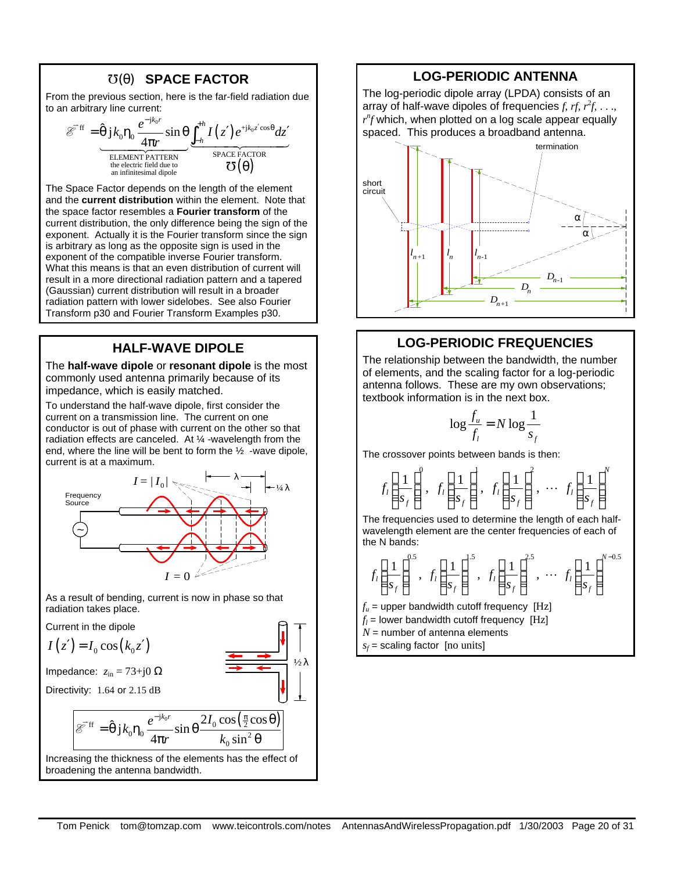## J**(q) SPACE FACTOR**

From the previous section, here is the far-field radiation due to an arbitrary line current:

$$
\mathscr{E}^{\text{eff}} = \frac{\hat{\theta} j k_0 \eta_0 \frac{e^{-jk_0 r}}{4\pi r} \sin \theta \underbrace{\int_{-h}^{+h} I(z') e^{+jk_0 z' \cos \theta} dz'}_{\text{SELEMENT PATTERN}}}{\text{SPACE FACTOR}\atop \text{an infinitesimal dipole}} \frac{\sum_{n=1}^{h} I(z') e^{+jk_0 z' \cos \theta} dz'}{\sigma(\theta)}
$$

The Space Factor depends on the length of the element and the **current distribution** within the element. Note that the space factor resembles a **Fourier transform** of the current distribution, the only difference being the sign of the exponent. Actually it is the Fourier transform since the sign is arbitrary as long as the opposite sign is used in the exponent of the compatible inverse Fourier transform. What this means is that an even distribution of current will result in a more directional radiation pattern and a tapered (Gaussian) current distribution will result in a broader radiation pattern with lower sidelobes. See also Fourier Transform p30 and Fourier Transform Examples p30.

#### **HALF-WAVE DIPOLE**

The **half-wave dipole** or **resonant dipole** is the most commonly used antenna primarily because of its impedance, which is easily matched.

To understand the half-wave dipole, first consider the current on a transmission line. The current on one conductor is out of phase with current on the other so that radiation effects are canceled. At ¼ -wavelength from the end, where the line will be bent to form the  $\frac{1}{2}$  -wave dipole, current is at a maximum.



As a result of bending, current is now in phase so that radiation takes place.

Current in the dipole

$$
I(z') = I_0 \cos(k_0 z')
$$

Impedance:  $z_{in} = 73 + j0$  Ω

Directivity: 
$$
1.64
$$
 or  $2.15$  dB

E  $\frac{1}{2}$ 

$$
^{\text{ff}} = \hat{\theta} j k_0 \eta_0 \frac{e^{-jk_0 r}}{4\pi r} \sin \theta \frac{2I_0 \cos(\frac{\pi}{2} \cos \theta)}{k_0 \sin^2 \theta}
$$

Increasing the thickness of the elements has the effect of broadening the antenna bandwidth.

#### **LOG-PERIODIC ANTENNA**

The log-periodic dipole array (LPDA) consists of an array of half-wave dipoles of frequencies  $f, rf, r^2f, \ldots$  $r^n$ f which, when plotted on a log scale appear equally spaced. This produces a broadband antenna.



# **LOG-PERIODIC FREQUENCIES**

The relationship between the bandwidth, the number of elements, and the scaling factor for a log-periodic antenna follows. These are my own observations; textbook information is in the next box.

$$
\log \frac{f_u}{f_l} = N \log \frac{1}{s_f}
$$

The crossover points between bands is then:

$$
f_l\left(\frac{1}{s_f}\right)^0, f_l\left(\frac{1}{s_f}\right)^l, f_l\left(\frac{1}{s_f}\right)^2, \cdots f_l\left(\frac{1}{s_f}\right)^N
$$

The frequencies used to determine the length of each halfwavelength element are the center frequencies of each of the N bands:

$$
f_l\left(\frac{1}{s_f}\right)^{0.5}, f_l\left(\frac{1}{s_f}\right)^{1.5}, f_l\left(\frac{1}{s_f}\right)^{2.5}, \cdots f_l\left(\frac{1}{s_f}\right)^{N-0.5}
$$

 $f_{\mu}$  = upper bandwidth cutoff frequency [Hz]

- $f_l$  = lower bandwidth cutoff frequency  $[Hz]$
- $N =$  number of antenna elements
- *sf* = scaling factor [no units]

 $1/2λ$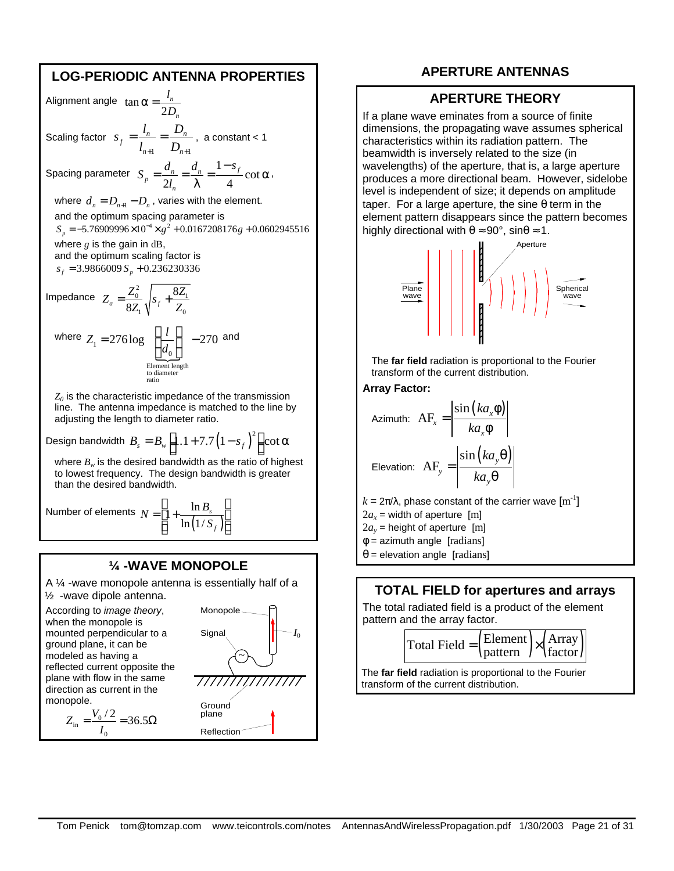## **LOG-PERIODIC ANTENNA PROPERTIES**

Alignment angle tan 2 *n n l D*  $\alpha =$ Scaling factor  $1$   $\nu_{n+1}$  $\frac{1}{t} = \frac{1}{t} = \frac{D_n}{D}$  $n+1$   $\boldsymbol{\nu}_n$  $s_{f} = \frac{l_{n}}{l_{n}} = \frac{D}{R}$  $l_{n+1}$   $D_{n+1}$  $=\frac{v_n}{1}=\frac{D_n}{2}$ , a constant < 1 Spacing parameter  $S_n = \frac{d_n}{1} = \frac{d_n}{1} = \frac{1}{n}$ cot  $2l_n \lambda \qquad 4$  $\frac{a_n}{2l} = \frac{a_n}{2l} = \frac{1-3j}{4}$ *n*  $S_n = \frac{d_n}{2i} = \frac{d_n}{2i} = \frac{1-s}{i}$ *l* −  $=\frac{a_n}{\sigma}=\frac{a_n}{\sigma}=\frac{a_n}{\sigma}$  cot  $\alpha$ λ , where  $d_{n} = D_{n+1} - D_{n}$  , varies with the element. and the optimum spacing parameter is  $S_p = -5.76909996 \times 10^{-4} \times g^2 + 0.0167208176g + 0.0602945516$ where  $g$  is the gain in  $dB$ , and the optimum scaling factor is  $s_f = 3.9866009 S_p + 0.236230336$ Impedance  $Z = \frac{Z_0^2}{s} \bigg|_{S_0} + \frac{8Z_1}{s}$  $\mathcal{L}_0$ 8  $a = \frac{1}{8Z_1} \sqrt{\frac{3f}{r}}$  $Z_a = \frac{Z_0^2}{2\pi} \left| s_f + \frac{8Z}{\pi} \right|$  $Z_1 \bigvee^{\sigma} Z_2$  $=\frac{Z_0}{Z}$ ,  $s_f$  + where  $\overline{d_0}$ <br>Element len 0 Element length to diameter ratio  $Z_1 = 276 \log \left( \frac{l}{I} \right) - 270$ *d*  $= 276 \log \left( \frac{l}{d_{\rm o}} \right)$   $- 270$  and *Z0* is the characteristic impedance of the transmission line. The antenna impedance is matched to the line by adjusting the length to diameter ratio.

Design bandwidth  $B_{_S} = B_{_W} \left[ 1.1 + 7.7 \left( 1 - s_{_f} \right)^2 \right]$ cot  $\alpha$ 

where  $B_w$  is the desired bandwidth as the ratio of highest to lowest frequency. The design bandwidth is greater than the desired bandwidth.

Number of elements  $(1/S_f)$  $1+\frac{\ln}{\ln}$  $\ln(1/$ *s f*  $N = 1 + \frac{\ln B}{\ln B}$ *S*  $\begin{vmatrix} \ln R \end{vmatrix}$  $= 1 + \frac{m v_s}{(m v_s)^2}$  $\left[ \ln\left(1/S_f\right)\right]$ 

#### **¼ -WAVE MONOPOLE**

A ¼ -wave monopole antenna is essentially half of a ½ -wave dipole antenna.

According to *image theory*, when the monopole is mounted perpendicular to a ground plane, it can be modeled as having a reflected current opposite the plane with flow in the same direction as current in the monopole.  $Z_{\text{in}} = \frac{V_0/2}{I} = 36.5$ 

 $\frac{v_0}{\sin} = \frac{v_0}{\cos \theta}$ 

 $\mathbf{0}$ 

*I*  $=\frac{v_0/2}{2}=36.5\Omega$ 



**APERTURE ANTENNAS**

#### **APERTURE THEORY**

If a plane wave eminates from a source of finite dimensions, the propagating wave assumes spherical characteristics within its radiation pattern. The beamwidth is inversely related to the size (in wavelengths) of the aperture, that is, a large aperture produces a more directional beam. However, sidelobe level is independent of size; it depends on amplitude taper. For a large aperture, the sine θ term in the element pattern disappears since the pattern becomes highly directional with  $\theta \approx 90^\circ$ , sin $\theta \approx 1$ .



The **far field** radiation is proportional to the Fourier transform of the current distribution.

#### **Array Factor:**

Azimuth: 
$$
AF_x = \left| \frac{\sin (ka_x \phi)}{ka_x \phi} \right|
$$
  
Elevation:  $AF_y = \left| \frac{\sin (ka_y \theta)}{ka_y \theta} \right|$ 

 $k = 2π/λ$ , phase constant of the carrier wave  $\text{[m}^{-1}\text{]}$  $2a_x$  = width of aperture [m]  $2a_y$  = height of aperture [m]  $\phi$  = azimuth angle [radians]  $\theta$  = elevation angle [radians]

#### **TOTAL FIELD for apertures and arrays**

The total radiated field is a product of the element pattern and the array factor.

$$
Total Field = \left(\frac{Element}{pattern}\right) \times \left(\frac{Array}{factor}\right)
$$

The **far field** radiation is proportional to the Fourier transform of the current distribution.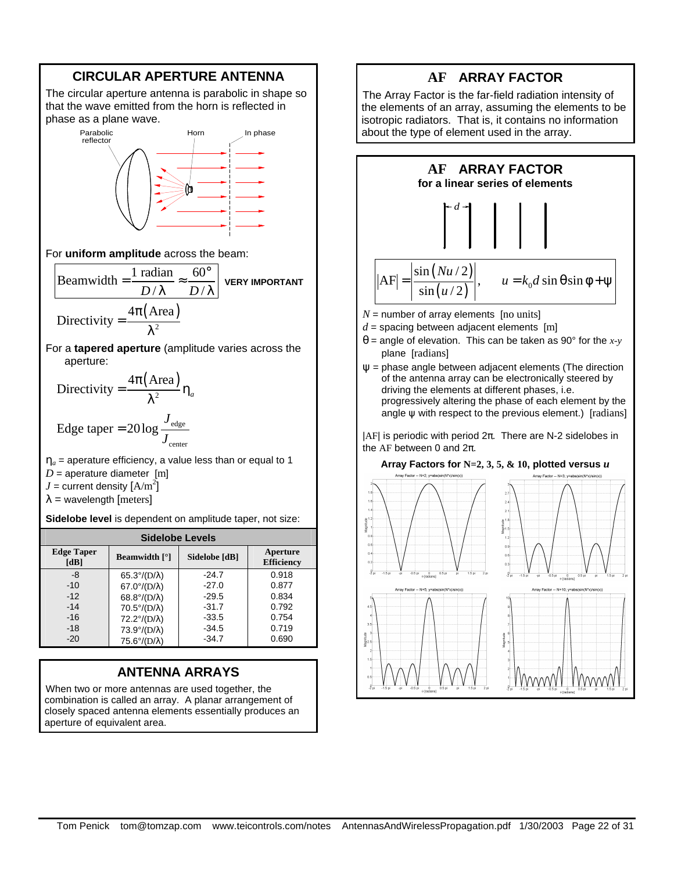

# **ANTENNA ARRAYS**

-34.7

0.690

75.6°/(D/λ)

-20

When two or more antennas are used together, the combination is called an array. A planar arrangement of closely spaced antenna elements essentially produces an aperture of equivalent area.

# **AF ARRAY FACTOR**

The Array Factor is the far-field radiation intensity of the elements of an array, assuming the elements to be isotropic radiators. That is, it contains no information about the type of element used in the array.



#### **Array Factors for N=2, 3, 5, & 10, plotted versus** *u*

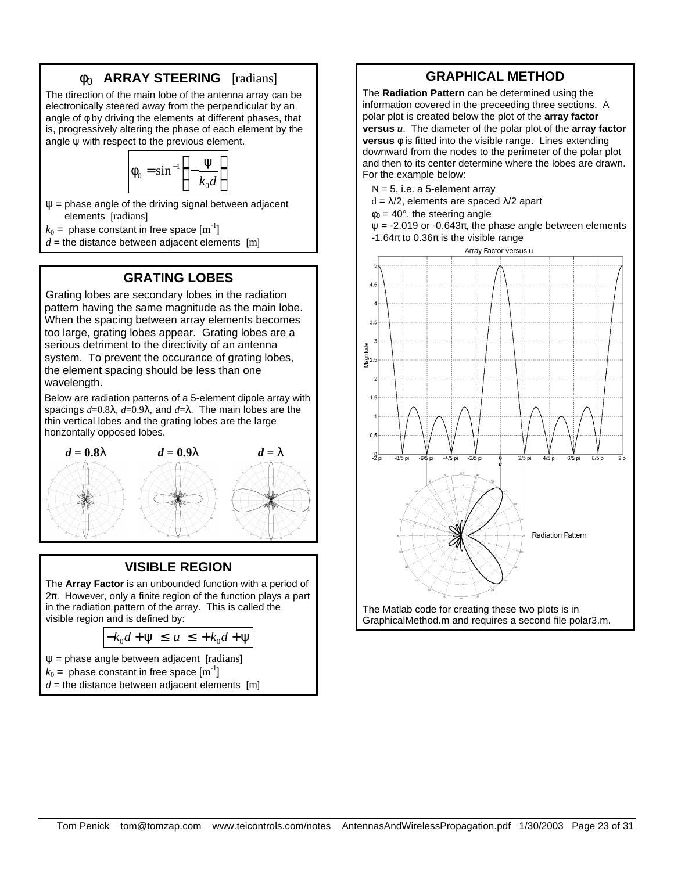# **f<sup>0</sup> ARRAY STEERING** [radians]

The direction of the main lobe of the antenna array can be electronically steered away from the perpendicular by an angle of φ by driving the elements at different phases, that is, progressively altering the phase of each element by the angle  $\psi$  with respect to the previous element.

$$
\phi_0 = \sin^{-1}\left(-\frac{\Psi}{k_0 d}\right)
$$

 $\Psi$  = phase angle of the driving signal between adjacent elements [radians]

 $k_0 = \text{ phase constant in free space } [\text{m}^\text{-1}]$ 

 $d =$  the distance between adjacent elements [m]

# **GRATING LOBES**

Grating lobes are secondary lobes in the radiation pattern having the same magnitude as the main lobe. When the spacing between array elements becomes too large, grating lobes appear. Grating lobes are a serious detriment to the directivity of an antenna system. To prevent the occurance of grating lobes, the element spacing should be less than one wavelength.

Below are radiation patterns of a 5-element dipole array with spacings *d*=0.8λ, *d*=0.9λ, and *d*=λ. The main lobes are the thin vertical lobes and the grating lobes are the large horizontally opposed lobes.



#### **VISIBLE REGION**

The **Array Factor** is an unbounded function with a period of 2π. However, only a finite region of the function plays a part in the radiation pattern of the array. This is called the visible region and is defined by:

$$
-k_0d + \psi \le u \le +k_0d + \psi
$$

 $\Psi$  = phase angle between adjacent [radians]

$$
k_0 = \text{ phase constant in free space } [m^{-1}]
$$

 $d =$  the distance between adjacent elements [m]

# **GRAPHICAL METHOD**

The **Radiation Pattern** can be determined using the information covered in the preceeding three sections. A polar plot is created below the plot of the **array factor versus** *u*. The diameter of the polar plot of the **array factor versus f** is fitted into the visible range. Lines extending downward from the nodes to the perimeter of the polar plot and then to its center determine where the lobes are drawn. For the example below:

- $N = 5$ , i.e. a 5-element array
- $d = \lambda/2$ , elements are spaced  $\lambda/2$  apart
- $\phi_0 = 40^\circ$ , the steering angle

 $\psi$  = -2.019 or -0.643 $\pi$ , the phase angle between elements -1.64π to 0.36π is the visible range

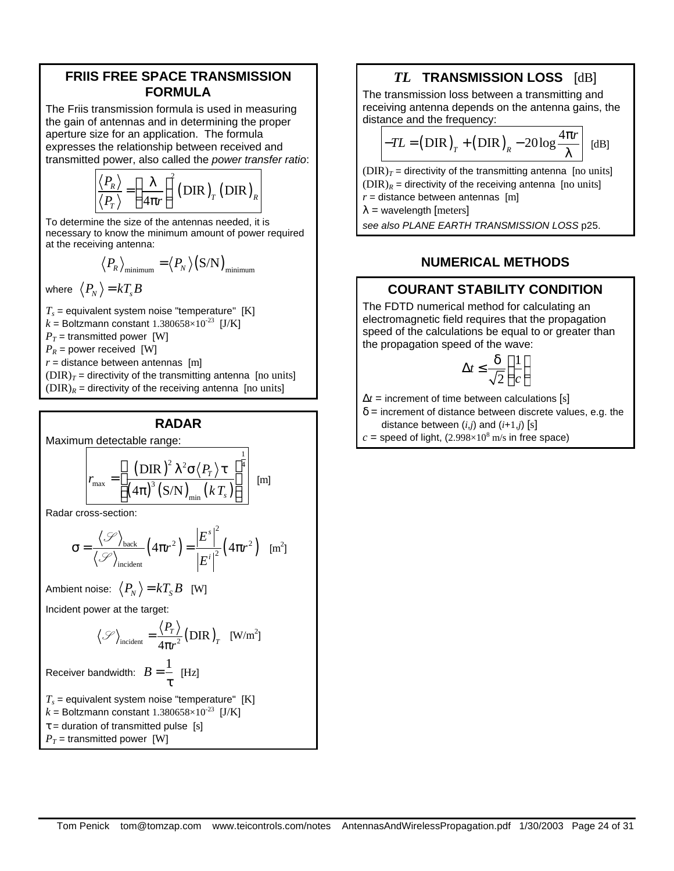## **FRIIS FREE SPACE TRANSMISSION FORMULA**

The Friis transmission formula is used in measuring the gain of antennas and in determining the proper aperture size for an application. The formula expresses the relationship between received and transmitted power, also called the *power transfer ratio*:

$$
\frac{\langle P_R \rangle}{\langle P_T \rangle} = \left(\frac{\lambda}{4\pi r}\right)^2 (\text{DIR})_T (\text{DIR})_R
$$

To determine the size of the antennas needed, it is necessary to know the minimum amount of power required at the receiving antenna:

$$
\langle P_R \rangle_{\text{minimum}} = \langle P_N \rangle (S/N)_{\text{minimum}}
$$

where 
$$
\langle P_N \rangle = kT_s B
$$

*Ts* = equivalent system noise "temperature" [K]  $k =$  Boltzmann constant 1.380658×10<sup>-23</sup> [J/K]  $P_T$  = transmitted power [W]  $P_R$  = power received [W]  $r =$  distance between antennas  $[m]$  $(DIR)_T$  = directivity of the transmitting antenna [no units]  $(DIR)_R$  = directivity of the receiving antenna [no units]

## **RADAR**

Maximum detectable range:

$$
r_{\max} = \left[ \frac{\left( \text{DIR} \right)^2 \lambda^2 \sigma \langle P_{T} \rangle \tau}{\left( 4\pi \right)^3 \left( \text{S/N} \right)_{\min} \left( k \, T_s \right)} \right]^{\frac{1}{4}} \, \text{[m]}
$$

Radar cross-section:

$$
\sigma = \frac{\langle \mathcal{S} \rangle_{\text{back}}}{\langle \mathcal{S} \rangle_{\text{incident}}} \left( 4\pi r^2 \right) = \frac{\left| E^s \right|^2}{\left| E^i \right|^2} \left( 4\pi r^2 \right) \quad \text{[m}^2\text{]}
$$

Ambient noise:  $\langle P_N \rangle = kT_s B$  [W]

Incident power at the target:

$$
\langle \mathcal{S} \rangle_{\text{incident}} = \frac{\langle P_T \rangle}{4\pi r^2} (\text{DIR})_T \quad \text{[W/m}^2\text{]}
$$

Receiver bandwidth:  $B = \frac{1}{2}$ τ [Hz]

*Ts* = equivalent system noise "temperature" [K]  $k =$  Boltzmann constant 1.380658×10<sup>-23</sup> [J/K]  $\tau$  = duration of transmitted pulse [s]

 $P_T$  = transmitted power [W]

# *TL* **TRANSMISSION LOSS** [dB]

The transmission loss between a transmitting and receiving antenna depends on the antenna gains, the distance and the frequency:

$$
-TL = (DIR)T + (DIR)R - 20log \frac{4\pi r}{\lambda} | [dB]
$$

 $(DIR)_T$  = directivity of the transmitting antenna [no units]  $(DIR)_R$  = directivity of the receiving antenna [no units]  $r =$  distance between antennas  $[m]$ 

 $\lambda$  = wavelength [meters]

*see also PLANE EARTH TRANSMISSION LOSS* p25.

# **NUMERICAL METHODS**

# **COURANT STABILITY CONDITION**

The FDTD numerical method for calculating an electromagnetic field requires that the propagation speed of the calculations be equal to or greater than the propagation speed of the wave:

$$
\Delta t \le \frac{\delta}{\sqrt{2}} \left( \frac{1}{c} \right)
$$

 $\Delta t$  = increment of time between calculations [s]

 $\delta$  = increment of distance between discrete values, e.g. the distance between  $(i,j)$  and  $(i+1,j)$  [s]

 $c$  = speed of light,  $(2.998\times10^8 \text{ m/s}$  in free space)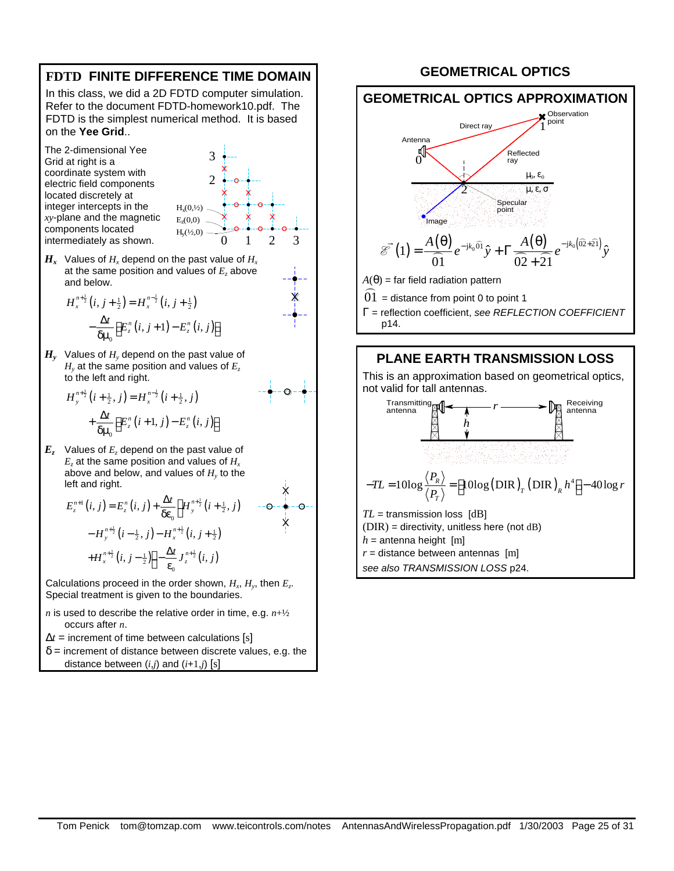

 $\delta$  = increment of distance between discrete values, e.g. the distance between (*i,j*) and (*i*+1,*j*) [s]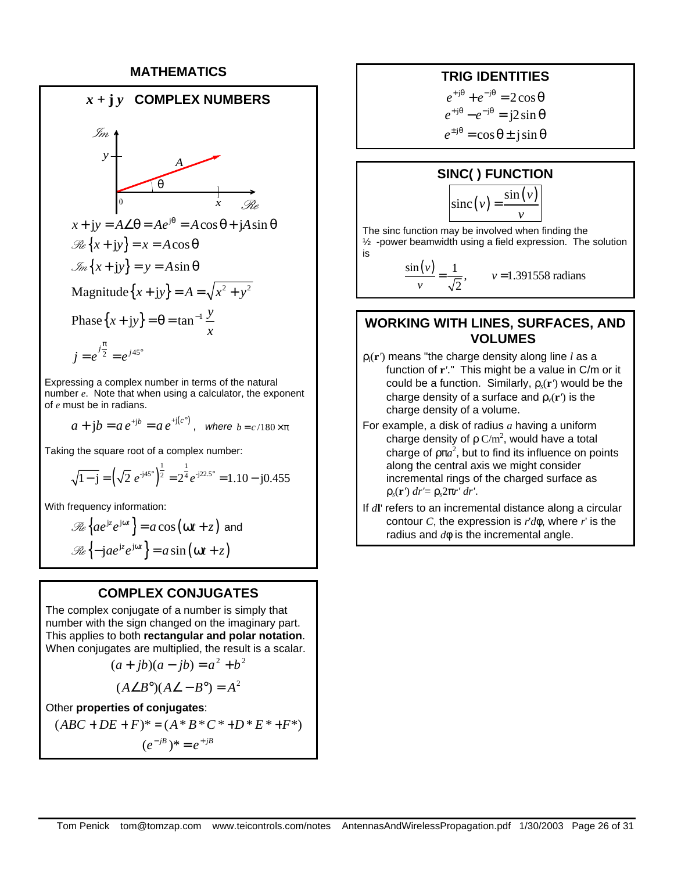#### **MATHEMATICS**



Expressing a complex number in terms of the natural number *e*. Note that when using a calculator, the exponent of *e* must be in radians.

$$
a + jb = ae^{+jb} = ae^{+j(c^{\circ})}
$$
, where  $b = c/180 \times \pi$ 

Taking the square root of a complex number:

$$
\sqrt{1-j} = \left(\sqrt{2} \ e^{-j45^\circ}\right)^{\frac{1}{2}} = 2^{\frac{1}{4}} e^{-j22.5^\circ} = 1.10 - j0.455
$$

With frequency information:

$$
\mathcal{R}e\left\{ae^{jz}e^{j\omega t}\right\} = a\cos(\omega t + z) \text{ and}
$$

$$
\mathcal{R}e\left\{-jae^{jz}e^{j\omega t}\right\} = a\sin(\omega t + z)
$$

#### **COMPLEX CONJUGATES**

The complex conjugate of a number is simply that number with the sign changed on the imaginary part. This applies to both **rectangular and polar notation**. When conjugates are multiplied, the result is a scalar.

$$
(a+jb)(a-jb) = a2 + b2
$$

$$
(A\angle B^{\circ})(A\angle - B^{\circ}) = A^2
$$

Other **properties of conjugates**:

$$
(ABC + DE + F)^* = (A * B * C * + D * E * + F^*)
$$
  

$$
(e^{-\beta})^* = e^{+\beta}
$$

#### **TRIG IDENTITIES**

 $e^{+j\theta} + e^{-j\theta} = 2\cos\theta$  $e^{+j\theta} - e^{-j\theta} = j2\sin\theta$  $e^{\pm j\theta} = \cos \theta \pm j \sin \theta$ 

#### **SINC( ) FUNCTION**

$$
\operatorname{sinc}(v) = \frac{\sin(v)}{v}
$$

The sinc function may be involved when finding the ½ -power beamwidth using a field expression. The solution is

> $\sin(v)$  1  $=\frac{1}{\sqrt{2}}$ ,  $v = 1.391558$  radians 2 *v v*

## **WORKING WITH LINES, SURFACES, AND VOLUMES**

- ρ*l*(**r***'*) means "the charge density along line *l* as a function of **r***'*." This might be a value in C/m or it could be a function. Similarly, ρ*s*(**r***'*) would be the charge density of a surface and  $\rho_{\nu}(\mathbf{r}')$  is the charge density of a volume.
- For example, a disk of radius *a* having a uniform charge density of  $\rho$  C/m<sup>2</sup>, would have a total charge of  $p\pi a^2$ , but to find its influence on points along the central axis we might consider incremental rings of the charged surface as ρ*s*(**r***'*) *dr'*= ρ*s*2π*r' dr'*.
- If *d***l**' refers to an incremental distance along a circular contour *C*, the expression is *r*'*d***f**, where *r*' is the radius and *d***f** is the incremental angle.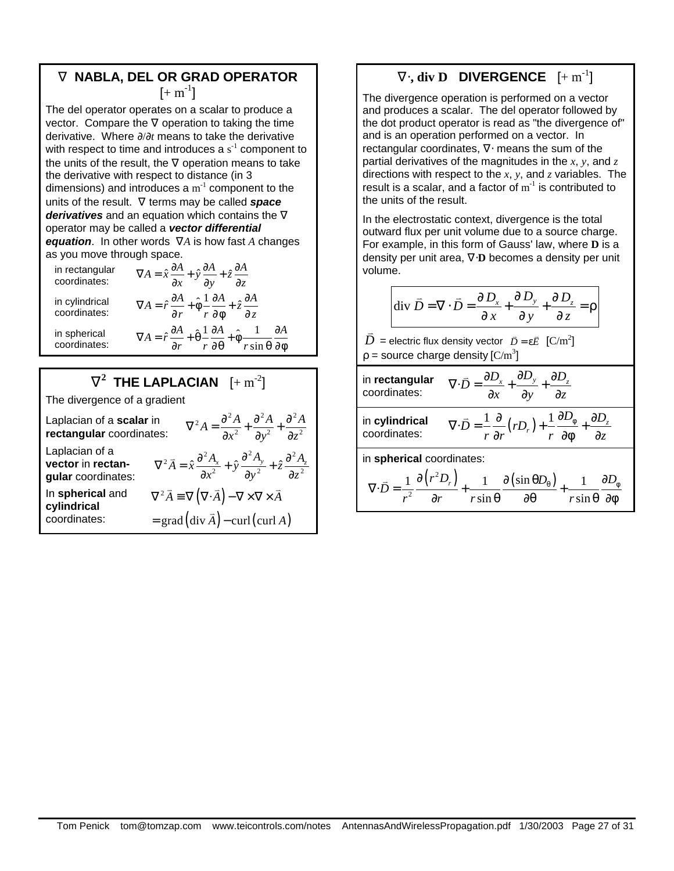# **Ñ NABLA, DEL OR GRAD OPERATOR**  $[+ \, \text{m}^{\text{-}1}]$

The del operator operates on a scalar to produce a vector. Compare the  $\nabla$  operation to taking the time derivative. Where ∂/∂*t* means to take the derivative with respect to time and introduces a  $s<sup>-1</sup>$  component to the units of the result, the  $\nabla$  operation means to take the derivative with respect to distance (in 3 dimensions) and introduces a  $m^{-1}$  component to the units of the result. ∇ terms may be called *space derivatives* and an equation which contains the ∇ operator may be called a *vector differential equation*. In other words ∇*A* is how fast *A* changes as you move through space.

in rectangular coordinates:  $A = \hat{x}\frac{\partial A}{\partial x} + \hat{y}\frac{\partial A}{\partial y} + \hat{z}\frac{\partial A}{\partial z}$  $\nabla A = \hat{x}\frac{\partial A}{\partial x} + \hat{y}\frac{\partial A}{\partial y} + \hat{z}\frac{\partial A}{\partial z}$ in cylindrical coordinates:  $\nabla A = \hat{r}\frac{\partial A}{\partial r} + \hat{\phi}\frac{1}{r}\frac{\partial A}{\partial \phi} + \hat{z}\frac{\partial A}{\partial z}$ ∂r <sup>⊺</sup>r∂φ <sup>∼</sup>∂ in spherical coordinates:  $\hat{r} \frac{\partial A}{\partial r} + \hat{\theta} \frac{1}{r} \frac{\partial A}{\partial r} + \hat{\phi} \frac{1}{r}$  $A = \hat{r} \frac{\partial A}{\partial r} + \hat{\theta} \frac{1}{r} \frac{\partial A}{\partial \theta} + \hat{\phi} \frac{1}{r \sin \theta} \frac{\partial A}{\partial \phi}$  $\nabla A = \hat{r} \frac{\partial A}{\partial r} + \hat{\theta} \frac{1}{r} \frac{\partial A}{\partial \theta} + \hat{\phi} \frac{1}{r \sin \theta} \frac{\partial A}{\partial \phi}$ 

# $\tilde{\mathbf{N}}^2$  THE LAPLACIAN  $[+ \, \mathrm{m}^{-2}]$

The divergence of a gradient

| Laplacian of a scalar in<br>rectangular coordinates:      | $\nabla^2 A = \frac{\partial^2 A}{\partial x^2} + \frac{\partial^2 A}{\partial y^2} + \frac{\partial^2 A}{\partial z^2}$                                     |  |  |
|-----------------------------------------------------------|--------------------------------------------------------------------------------------------------------------------------------------------------------------|--|--|
| Laplacian of a<br>vector in rectan-<br>gular coordinates: | $\nabla^2 \vec{A} = \hat{x} \frac{\partial^2 A_x}{\partial x^2} + \hat{y} \frac{\partial^2 A_y}{\partial y^2} + \hat{z} \frac{\partial^2 A_z}{\partial z^2}$ |  |  |
| In spherical and<br>cylindrical<br>coordinates:           | $\nabla^2 \vec{A} = \nabla (\nabla \cdot \vec{A}) - \nabla \times \nabla \times \vec{A}$<br>$=$ grad $(\text{div }\vec{A})$ – curl (curl A)                  |  |  |
|                                                           |                                                                                                                                                              |  |  |

# $\widetilde{\mathbf{N}}$ **x**, div D DIVERGENCE  $[+ \, \text{m}^{-1}]$

The divergence operation is performed on a vector and produces a scalar. The del operator followed by the dot product operator is read as "the divergence of" and is an operation performed on a vector. In rectangular coordinates, ∇⋅ means the sum of the partial derivatives of the magnitudes in the *x*, *y*, and *z* directions with respect to the *x*, *y*, and *z* variables. The result is a scalar, and a factor of  $m^{-1}$  is contributed to the units of the result.

In the electrostatic context, divergence is the total outward flux per unit volume due to a source charge. For example, in this form of Gauss' law, where **D** is a density per unit area, ∇⋅**D** becomes a density per unit volume.

$$
\text{div }\vec{D} = \nabla \cdot \vec{D} = \frac{\partial D_x}{\partial x} + \frac{\partial D_y}{\partial y} + \frac{\partial D_z}{\partial z} = \rho
$$

 $\vec{D}$ = electric flux density vector  $\vec{D} = \varepsilon \vec{E}$   $[{\text{C/m}}^2]$  $\rho$  = source charge density [C/m<sup>3</sup>]

| in rectangular<br>coordinates: | $\nabla \cdot \vec{D} = \frac{\partial D_x}{\partial D_y}$<br>$\int \frac{\partial L_y}{\partial y}$<br>$\overline{\partial z}$<br>$\partial x$                                                                                     |
|--------------------------------|-------------------------------------------------------------------------------------------------------------------------------------------------------------------------------------------------------------------------------------|
| in cylindrical<br>coordinates: | $\nabla \cdot \vec{D} = \frac{1}{r} \frac{\partial}{\partial r} \left( r D_r \right) + \frac{1}{r} \frac{\partial D_{\phi}}{\partial \phi} + \frac{\partial D_z}{\partial z}$                                                       |
| in spherical coordinates:      |                                                                                                                                                                                                                                     |
|                                | $\nabla \cdot \vec{D} = \frac{1}{r^2} \frac{\partial (r^2 D_r)}{\partial r} + \frac{1}{r \sin \theta} \frac{\partial (\sin \theta D_{\theta})}{\partial \theta} +$<br>$\partial D_{\scriptscriptstyle (\!\varsigma\!)}$<br>$r \sin$ |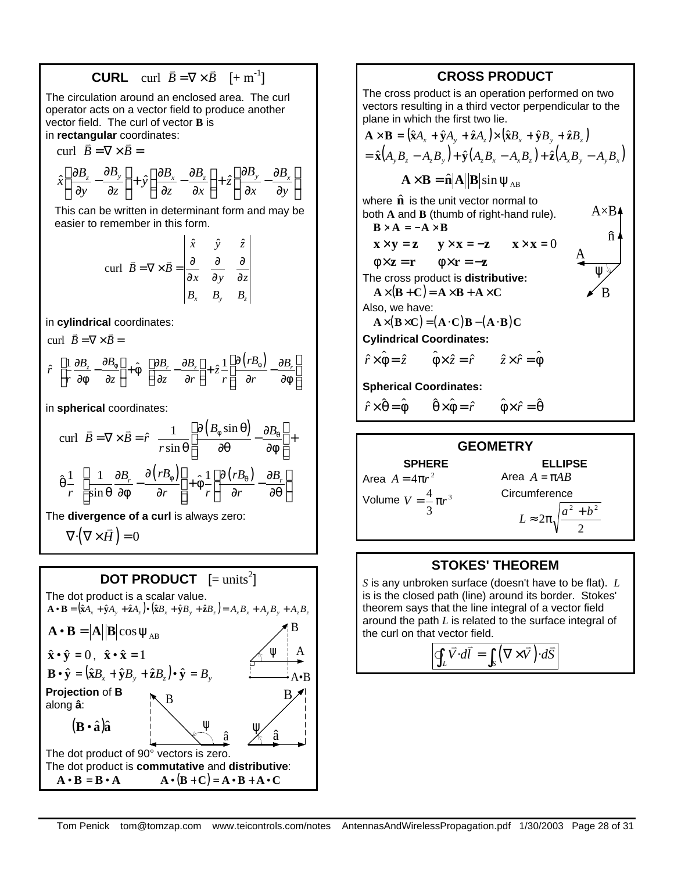**CURL** curl 
$$
\vec{B} = \nabla \times \vec{B} \quad [+ \text{ m}^{-1}]
$$

The circulation around an enclosed area. The curl operator acts on a vector field to produce another vector field. The curl of vector **B** is

in **rectangular** coordinates:

curl  $\vec{B} = \nabla \times \vec{B}$  =

$$
\hat{x}\left(\frac{\partial B_z}{\partial y} - \frac{\partial B_y}{\partial z}\right) + \hat{y}\left(\frac{\partial B_x}{\partial z} - \frac{\partial B_z}{\partial x}\right) + \hat{z}\left(\frac{\partial B_y}{\partial x} - \frac{\partial B_x}{\partial y}\right)
$$

This can be written in determinant form and may be easier to remember in this form.

$$
\text{curl} \quad \vec{B} = \nabla \times \vec{B} = \begin{vmatrix} \hat{x} & \hat{y} & \hat{z} \\ \frac{\partial}{\partial x} & \frac{\partial}{\partial y} & \frac{\partial}{\partial z} \\ B_x & B_y & B_z \end{vmatrix}
$$

in **cylindrical** coordinates:

curl  $\vec{B} = \nabla \times \vec{B}$ 

$$
\hat{r} \left[ \frac{1}{r} \frac{\partial B_z}{\partial \phi} - \frac{\partial B_{\phi}}{\partial z} \right] + \hat{\phi} \left[ \frac{\partial B_r}{\partial z} - \frac{\partial B_z}{\partial r} \right] + \hat{z} \frac{1}{r} \left[ \frac{\partial (rB_{\phi})}{\partial r} - \frac{\partial B_r}{\partial \phi} \right]
$$

in **spherical** coordinates:

$$
\text{curl} \quad \vec{B} = \nabla \times \vec{B} = \hat{r} \quad \frac{1}{r \sin \theta} \left[ \frac{\partial (B_{\phi} \sin \theta)}{\partial \theta} - \frac{\partial B_{\theta}}{\partial \phi} \right] +
$$
\n
$$
\hat{\theta} \frac{1}{r} \left[ \frac{1}{\sin \theta} \frac{\partial B_{r}}{\partial \phi} - \frac{\partial (rB_{\phi})}{\partial r} \right] + \hat{\phi} \frac{1}{r} \left[ \frac{\partial (rB_{\theta})}{\partial r} - \frac{\partial B_{r}}{\partial \theta} \right]
$$

The **divergence of a curl** is always zero:

$$
\nabla \cdot (\nabla \times \vec{H}) = 0
$$

# **DOT PRODUCT**  $[= units^2]$



### **CROSS PRODUCT**

The cross product is an operation performed on two vectors resulting in a third vector perpendicular to the plane in which the first two lie.

$$
\mathbf{A} \times \mathbf{B} = (\hat{\mathbf{x}}A_x + \hat{\mathbf{y}}A_y + \hat{\mathbf{z}}A_z) \times (\hat{\mathbf{x}}B_x + \hat{\mathbf{y}}B_y + \hat{\mathbf{z}}B_z)
$$
  
=  $\hat{\mathbf{x}}(A_yB_z - A_zB_y) + \hat{\mathbf{y}}(A_zB_x - A_xB_z) + \hat{\mathbf{z}}(A_xB_y - A_yB_x)$   
 $\mathbf{A} \times \mathbf{B} = \hat{\mathbf{n}}|\mathbf{A}||\mathbf{B}|\sin \psi_{AB}$ 

where  $\hat{\mathbf{n}}$  is the unit vector normal to both **A** and **B** (thumb of right-hand rule).  $\mathbf{B} \times \mathbf{A} = -\mathbf{A} \times \mathbf{B}$ A×B

$$
\begin{array}{ccc}\n\mathbf{x} \times \mathbf{y} = \mathbf{z} & \mathbf{y} \times \mathbf{x} = -\mathbf{z} & \mathbf{x} \times \mathbf{x} = 0 \\
\phi \times \mathbf{z} = \mathbf{r} & \phi \times \mathbf{r} = -\mathbf{z} & \mathbf{A} \\
\end{array}
$$

The cross product is **distributive:**  $A \times (B + C) = A \times B + A \times C$ 

Also, we have:

 $A \times (B \times C) = (A \cdot C)B - (A \cdot B)C$ 

**Cylindrical Coordinates:**

$$
\hat{r} \times \hat{\phi} = \hat{z} \qquad \hat{\phi} \times \hat{z} = \hat{r} \qquad \hat{z} \times \hat{r} = \hat{\phi}
$$

**Spherical Coordinates:**

 $\hat{r} \times \hat{\theta} = \hat{\phi}$   $\hat{\theta} \times \hat{\phi} = \hat{r}$   $\hat{\phi} \times \hat{r} = \hat{\theta}$ 

#### **GEOMETRY SPHERE** Area  $A = 4\pi r^2$ **ELLIPSE** Area  $A = \pi AB$

Volume  $V = \frac{4}{\pi} \pi r^3$ 3  $V = \frac{4}{3} \pi r$ 

**Circumference** 

$$
L \approx 2\pi \sqrt{\frac{a^2 + b^2}{2}}
$$

B

# **STOKES' THEOREM**

*S* is any unbroken surface (doesn't have to be flat). *L* is is the closed path (line) around its border. Stokes' theorem says that the line integral of a vector field around the path *L* is related to the surface integral of the curl on that vector field.

 $\oint_L \vec{V} \cdot d\vec{l} = \int_S (\nabla \times \vec{V}) \cdot d\vec{S}$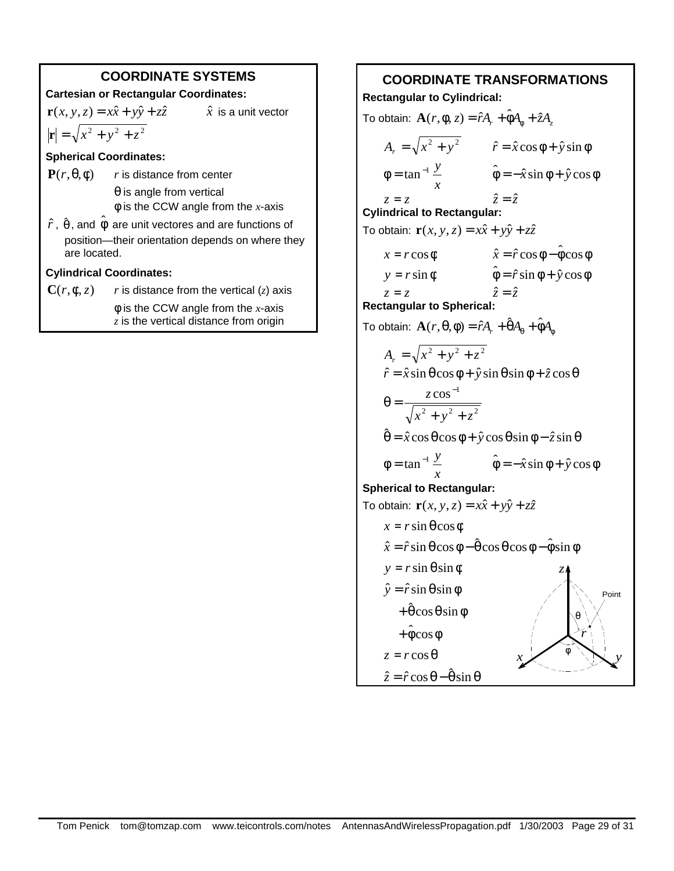# **COORDINATE SYSTEMS**

#### **Cartesian or Rectangular Coordinates:**

 $\mathbf{r}(x, y, z) = x\hat{x} + y\hat{y} + z\hat{z}$   $\hat{x}$  is a unit vector

# $|\mathbf{r}| = \sqrt{x^2 + y^2 + z^2}$

#### **Spherical Coordinates:**

**P**( $r$ ,  $θ$ , $φ$ ) *r* is distance from center

 $\theta$  is angle from vertical φ is the CCW angle from the *x*-axis

 $\hat{r}$  ,  $\hat{\theta}$  , and  $\hat{\phi}$  are unit vectores and are functions of position—their orientation depends on where they are located.

## **Cylindrical Coordinates:**

 $C(r, \phi, z)$  *r* is distance from the vertical (*z*) axis φ is the CCW angle from the *x*-axis *z* is the vertical distance from origin

# **COORDINATE TRANSFORMATIONS**

**Rectangular to Cylindrical:**

 $T$ ο obtain:  $\mathbf{A}(r, \phi, z) = \hat{r}A_r + \hat{\phi}A_\phi + \hat{z}A_z$  $A_r = \sqrt{x^2 + y^2}$   $\hat{r} = \hat{x} \cos \phi + \hat{y} \sin \phi$ *x*  $\phi = \tan^{-1} \frac{y}{\phi}$   $\hat{\phi} = -\hat{x} \sin \phi + \hat{y} \cos \phi$  $z = z$   $\hat{z} = \hat{z}$ **Cylindrical to Rectangular:** To obtain:  $\mathbf{r}(x, y, z) = x\hat{x} + y\hat{y} + z\hat{z}$  $x = r \cos \phi$   $\hat{x} = \hat{r} \cos \phi - \hat{\phi} \cos \phi$  $y = r \sin \phi$   $\hat{\phi} = \hat{r} \sin \phi + \hat{y} \cos \phi$  $z = z$   $\hat{z} = \hat{z}$ **Rectangular to Spherical:**  $\textsf{To obtain: } \mathbf{A}(r, \theta, \phi) = \hat{r} A_r + \hat{\theta} A_\theta + \hat{\phi} A_\phi$  $A_r = \sqrt{x^2 + y^2 + z^2}$  $\hat{r} = \hat{x} \sin \theta \cos \phi + \hat{y} \sin \theta \sin \phi + \hat{z} \cos \theta$ 2  $3 \times 2 = 2$  $\cos^{-1}$  $x^2 + y^2 + z$ *z*  $+ y^2 +$  $\theta =$ −  $\hat{\theta} = \hat{x} \cos \theta \cos \phi + \hat{y} \cos \theta \sin \phi - \hat{z} \sin \theta$ *x*  $\phi = \tan^{-1} \frac{y}{\phi}$   $\hat{\phi} = -\hat{x} \sin \phi + \hat{y} \cos \phi$ **Spherical to Rectangular:** To obtain:  $\mathbf{r}(x, y, z) = x\hat{x} + y\hat{y} + z\hat{z}$  $x = r \sin \theta \cos \phi$  $\hat{x} = \hat{r} \sin \theta \cos \phi - \hat{\theta} \cos \theta \cos \phi - \hat{\phi} \sin \phi$  $y = r \sin \theta \sin \phi$  $\hat{y} = \hat{r} \sin \theta \sin \phi$  $+\hat{\theta}\cos\theta\sin\phi$  $+\hat{\phi}\cos\phi$  $z = r \cos \theta$  $\hat{z} = \hat{r} \cos \theta - \hat{\theta} \sin \theta$ *r x* φ *y* θ *z* Point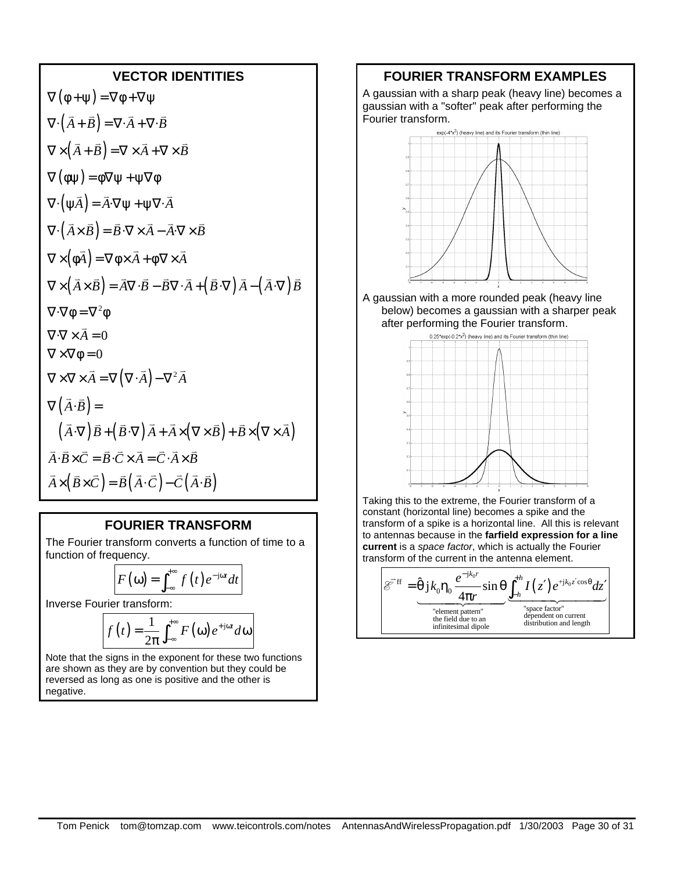#### **VECTOR IDENTITIES**

$$
\nabla (\phi + \psi) = \nabla \phi + \nabla \psi
$$
  
\n
$$
\nabla \cdot (\vec{A} + \vec{B}) = \nabla \cdot \vec{A} + \nabla \cdot \vec{B}
$$
  
\n
$$
\nabla \times (\vec{A} + \vec{B}) = \nabla \times \vec{A} + \nabla \times \vec{B}
$$
  
\n
$$
\nabla (\phi \psi) = \phi \nabla \psi + \psi \nabla \phi
$$
  
\n
$$
\nabla \cdot (\psi \vec{A}) = \vec{A} \cdot \nabla \psi + \psi \nabla \cdot \vec{A}
$$
  
\n
$$
\nabla \cdot (\vec{A} \times \vec{B}) = \vec{B} \cdot \nabla \times \vec{A} - \vec{A} \cdot \nabla \times \vec{B}
$$
  
\n
$$
\nabla \times (\phi \vec{A}) = \nabla \phi \times \vec{A} + \phi \nabla \times \vec{A}
$$
  
\n
$$
\nabla \times (\vec{A} \times \vec{B}) = \vec{A} \nabla \cdot \vec{B} - \vec{B} \nabla \cdot \vec{A} + (\vec{B} \cdot \nabla) \vec{A} - (\vec{A} \cdot \nabla) \vec{B}
$$
  
\n
$$
\nabla \cdot \nabla \phi = \nabla^2 \phi
$$
  
\n
$$
\nabla \cdot \nabla \times \vec{A} = 0
$$
  
\n
$$
\nabla \times \nabla \times \vec{A} = \nabla (\nabla \cdot \vec{A}) - \nabla^2 \vec{A}
$$
  
\n
$$
\nabla (\vec{A} \cdot \vec{B}) =
$$
  
\n
$$
(\vec{A} \cdot \nabla) \vec{B} + (\vec{B} \cdot \nabla) \vec{A} + \vec{A} \times (\nabla \times \vec{B}) + \vec{B} \times (\nabla \times \vec{A})
$$
  
\n
$$
\vec{A} \cdot \vec{B} \times \vec{C} = \vec{B} \cdot \vec{C} \times \vec{A} = \vec{C} \cdot \vec{A} \times \vec{B}
$$
  
\n
$$
\vec{A} \times (\vec{B} \times \vec{C})
$$

#### **FOURIER TRANSFORM**

The Fourier transform converts a function of time to a function of frequency.

$$
F(\omega) = \int_{-\infty}^{+\infty} f(t) e^{-j\omega t} dt
$$

Inverse Fourier transform:

$$
f(t) = \frac{1}{2\pi} \int_{-\infty}^{+\infty} F(\omega) e^{+\mathrm{j}\omega t} d\omega
$$

Note that the signs in the exponent for these two functions are shown as they are by convention but they could be reversed as long as one is positive and the other is negative.

#### **FOURIER TRANSFORM EXAMPLES**

A gaussian with a sharp peak (heavy line) becomes a gaussian with a "softer" peak after performing the Fourier transform.



A gaussian with a more rounded peak (heavy line below) becomes a gaussian with a sharper peak after performing the Fourier transform.



Taking this to the extreme, the Fourier transform of a constant (horizontal line) becomes a spike and the transform of a spike is a horizontal line. All this is relevant to antennas because in the **farfield expression for a line current** is a *space factor*, which is actually the Fourier transform of the current in the antenna element.